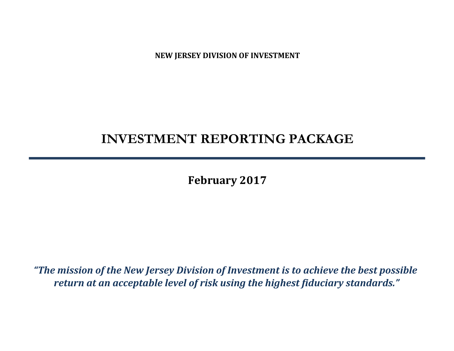**NEW JERSEY DIVISION OF INVESTMENT**

# **INVESTMENT REPORTING PACKAGE**

**February 2017**

*"The mission of the New Jersey Division of Investment is to achieve the best possible return at an acceptable level of risk using the highest fiduciary standards."*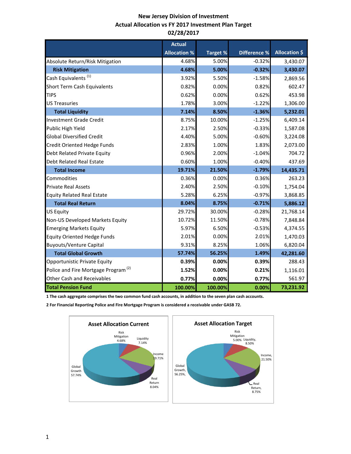## **New Jersey Division of Investment Actual Allocation vs FY 2017 Investment Plan Target 02/28/2017**

|                                                 | <b>Actual</b>       |                 |                     |                      |
|-------------------------------------------------|---------------------|-----------------|---------------------|----------------------|
|                                                 | <b>Allocation %</b> | <b>Target %</b> | <b>Difference %</b> | <b>Allocation \$</b> |
| Absolute Return/Risk Mitigation                 | 4.68%               | 5.00%           | $-0.32%$            | 3,430.07             |
| <b>Risk Mitigation</b>                          | 4.68%               | 5.00%           | $-0.32%$            | 3,430.07             |
| Cash Equivalents <sup>(1)</sup>                 | 3.92%               | 5.50%           | $-1.58%$            | 2,869.56             |
| <b>Short Term Cash Equivalents</b>              | 0.82%               | 0.00%           | 0.82%               | 602.47               |
| <b>TIPS</b>                                     | 0.62%               | 0.00%           | 0.62%               | 453.98               |
| <b>US Treasuries</b>                            | 1.78%               | 3.00%           | $-1.22%$            | 1,306.00             |
| <b>Total Liquidity</b>                          | 7.14%               | 8.50%           | $-1.36%$            | 5,232.01             |
| Investment Grade Credit                         | 8.75%               | 10.00%          | $-1.25%$            | 6,409.14             |
| Public High Yield                               | 2.17%               | 2.50%           | $-0.33%$            | 1,587.08             |
| <b>Global Diversified Credit</b>                | 4.40%               | 5.00%           | $-0.60%$            | 3,224.08             |
| Credit Oriented Hedge Funds                     | 2.83%               | 1.00%           | 1.83%               | 2,073.00             |
| Debt Related Private Equity                     | 0.96%               | 2.00%           | $-1.04%$            | 704.72               |
| <b>Debt Related Real Estate</b>                 | 0.60%               | 1.00%           | $-0.40%$            | 437.69               |
| <b>Total Income</b>                             | 19.71%              | 21.50%          | $-1.79%$            | 14,435.71            |
| Commodities                                     | 0.36%               | 0.00%           | 0.36%               | 263.23               |
| <b>Private Real Assets</b>                      | 2.40%               | 2.50%           | $-0.10%$            | 1,754.04             |
| <b>Equity Related Real Estate</b>               | 5.28%               | 6.25%           | $-0.97%$            | 3,868.85             |
| <b>Total Real Return</b>                        | 8.04%               | 8.75%           | $-0.71%$            | 5,886.12             |
| <b>US Equity</b>                                | 29.72%              | 30.00%          | $-0.28%$            | 21,768.14            |
| Non-US Developed Markets Equity                 | 10.72%              | 11.50%          | $-0.78%$            | 7,848.84             |
| <b>Emerging Markets Equity</b>                  | 5.97%               | 6.50%           | $-0.53%$            | 4,374.55             |
| <b>Equity Oriented Hedge Funds</b>              | 2.01%               | 0.00%           | 2.01%               | 1,470.03             |
| <b>Buyouts/Venture Capital</b>                  | 9.31%               | 8.25%           | 1.06%               | 6,820.04             |
| <b>Total Global Growth</b>                      | 57.74%              | 56.25%          | 1.49%               | 42,281.60            |
| Opportunistic Private Equity                    | 0.39%               | 0.00%           | 0.39%               | 288.43               |
| Police and Fire Mortgage Program <sup>(2)</sup> | 1.52%               | 0.00%           | 0.21%               | 1,116.01             |
| <b>Other Cash and Receivables</b>               | 0.77%               | 0.00%           | 0.77%               | 561.97               |
| <b>Total Pension Fund</b>                       | 100.00%             | 100.00%         | 0.00%               | 73,231.92            |

**1 The cash aggregate comprises the two common fund cash accounts, in addition to the seven plan cash accounts.** 

**2 For Financial Reporting Police and Fire Mortgage Program is considered a receivable under GASB 72.**

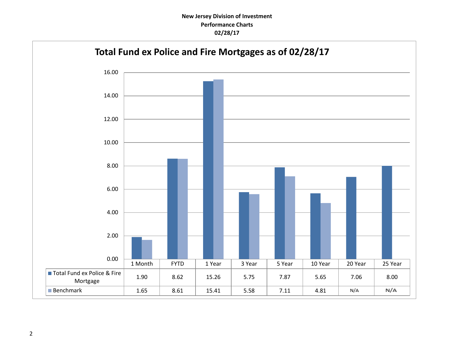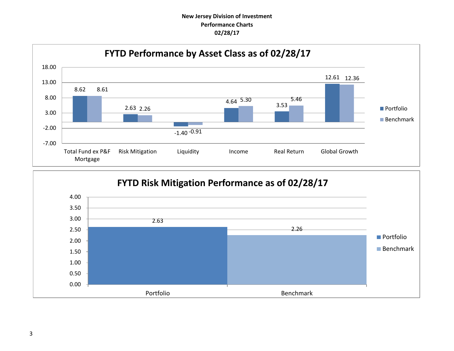## **New Jersey Division of Investment Performance Charts 02/28/17**



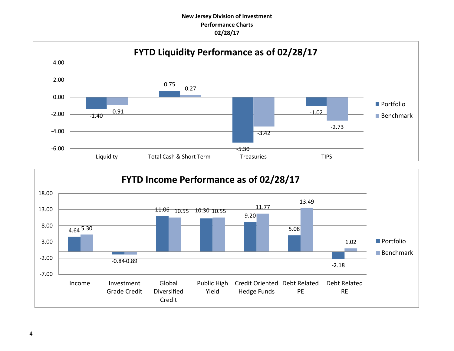## **New Jersey Division of Investment Performance Charts 02/28/17**



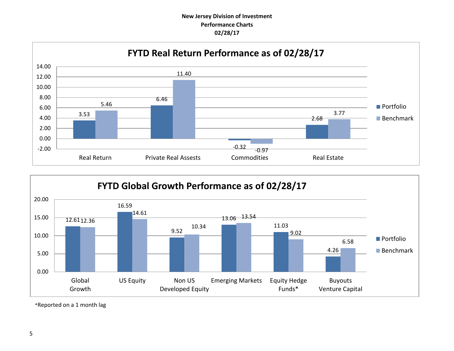## **New Jersey Division of Investment Performance Charts 02/28/17**





\*Reported on a 1 month lag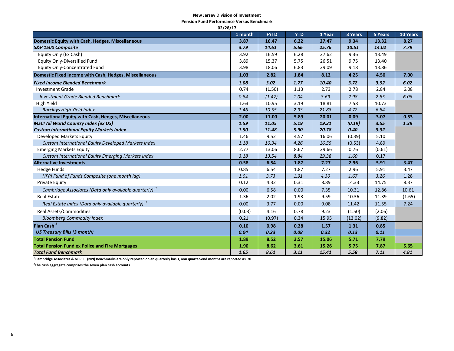#### **New Jersey Division of Investment**

**Pension Fund Performance Versus Benchmark**

| 02/28/17                                                          |         |             |            |        |         |         |                 |  |
|-------------------------------------------------------------------|---------|-------------|------------|--------|---------|---------|-----------------|--|
|                                                                   | 1 month | <b>FYTD</b> | <b>YTD</b> | 1 Year | 3 Years | 5 Years | <b>10 Years</b> |  |
| Domestic Equity with Cash, Hedges, Miscellaneous                  | 3.87    | 16.47       | 6.22       | 27.47  | 9.34    | 13.32   | 8.27            |  |
| S&P 1500 Composite                                                | 3.79    | 14.61       | 5.66       | 25.76  | 10.51   | 14.02   | 7.79            |  |
| Equity Only (Ex Cash)                                             | 3.92    | 16.59       | 6.28       | 27.62  | 9.36    | 13.49   |                 |  |
| <b>Equity Only-Diversified Fund</b>                               | 3.89    | 15.37       | 5.75       | 26.51  | 9.75    | 13.40   |                 |  |
| <b>Equity Only-Concentrated Fund</b>                              | 3.98    | 18.06       | 6.83       | 29.09  | 9.18    | 13.86   |                 |  |
| Domestic Fixed Income with Cash, Hedges, Miscellaneous            | 1.03    | 2.82        | 1.84       | 8.12   | 4.25    | 4.50    | 7.00            |  |
| <b>Fixed Income Blended Benchmark</b>                             | 1.08    | 3.02        | 1.77       | 10.40  | 3.72    | 3.92    | 6.02            |  |
| <b>Investment Grade</b>                                           | 0.74    | (1.50)      | 1.13       | 2.73   | 2.78    | 2.84    | 6.08            |  |
| <b>Investment Grade Blended Benchmark</b>                         | 0.84    | (1.47)      | 1.04       | 3.69   | 2.98    | 2.85    | 6.06            |  |
| <b>High Yield</b>                                                 | 1.63    | 10.95       | 3.19       | 18.81  | 7.58    | 10.73   |                 |  |
| <b>Barclays High Yield Index</b>                                  | 1.46    | 10.55       | 2.93       | 21.83  | 4.72    | 6.84    |                 |  |
| <b>International Equity with Cash, Hedges, Miscellaneous</b>      | 2.00    | 11.00       | 5.89       | 20.01  | 0.09    | 3.07    | 0.53            |  |
| <b>MSCI All World Country Index (ex US)</b>                       | 1.59    | 11.05       | 5.19       | 19.31  | (0.19)  | 3.55    | 1.38            |  |
| <b>Custom International Equity Markets Index</b>                  | 1.90    | 11.48       | 5.90       | 20.78  | 0.40    | 3.32    |                 |  |
| Developed Markets Equity                                          | 1.46    | 9.52        | 4.57       | 16.06  | (0.39)  | 5.10    |                 |  |
| Custom International Equity Developed Markets Index               | 1.18    | 10.34       | 4.26       | 16.55  | (0.53)  | 4.89    |                 |  |
| <b>Emerging Markets Equity</b>                                    | 2.77    | 13.06       | 8.67       | 29.66  | 0.76    | (0.61)  |                 |  |
| Custom International Equity Emerging Markets Index                | 3.18    | 13.54       | 8.84       | 29.38  | 1.60    | 0.17    |                 |  |
| <b>Alternative Investments</b>                                    | 0.58    | 6.54        | 1.87       | 7.27   | 2.96    | 5.91    | 3.47            |  |
| <b>Hedge Funds</b>                                                | 0.85    | 6.54        | 1.87       | 7.27   | 2.96    | 5.91    | 3.47            |  |
| HFRI Fund of Funds Composite (one month lag)                      | 1.01    | 3.73        | 1.91       | 4.30   | 1.67    | 3.26    | 1.28            |  |
| <b>Private Equity</b>                                             | 0.12    | 4.32        | 0.31       | 8.89   | 14.33   | 14.75   | 8.37            |  |
| Cambridge Associates (Data only available quarterly) <sup>1</sup> | 0.00    | 6.58        | 0.00       | 7.35   | 10.31   | 12.86   | 10.61           |  |
| <b>Real Estate</b>                                                | 1.36    | 2.02        | 1.93       | 9.59   | 10.36   | 11.39   | (1.65)          |  |
| Real Estate Index (Data only available quarterly) <sup>1</sup>    | 0.00    | 3.77        | 0.00       | 9.08   | 11.42   | 11.55   | 7.24            |  |
| <b>Real Assets/Commodities</b>                                    | (0.03)  | 4.16        | 0.78       | 9.23   | (1.50)  | (2.06)  |                 |  |
| <b>Bloomberg Commodity Index</b>                                  | 0.21    | (0.97)      | 0.34       | 15.95  | (13.02) | (9.82)  |                 |  |
| Plan Cash <sup>2</sup>                                            | 0.10    | 0.98        | 0.28       | 1.57   | 1.31    | 0.85    |                 |  |
| <b>US Treasury Bills (3 month)</b>                                | 0.04    | 0.23        | 0.08       | 0.32   | 0.13    | 0.11    |                 |  |
| <b>Total Pension Fund</b>                                         | 1.89    | 8.52        | 3.57       | 15.06  | 5.71    | 7.79    |                 |  |
| <b>Total Pension Fund ex Police and Fire Mortgages</b>            | 1.90    | 8.62        | 3.61       | 15.26  | 5.75    | 7.87    | 5.65            |  |
| <b>Total Fund Benchmark</b>                                       | 1.65    | 8.61        | 3.11       | 15.41  | 5.58    | 7.11    | 4.81            |  |

**<sup>1</sup>Cambridge Associates & NCREIF (NPI) Benchmarks are only reported on an quarterly basis, non quarter-end months are reported as 0%**

**2 The cash aggregate comprises the seven plan cash accounts**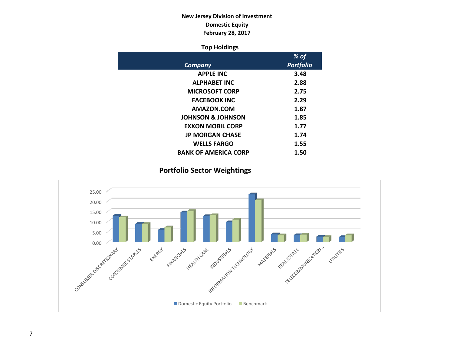## **New Jersey Division of Investment Domestic Equity February 28, 2017**

## **Top Holdings**

|                              | % of             |
|------------------------------|------------------|
| Company                      | <b>Portfolio</b> |
| <b>APPLE INC</b>             | 3.48             |
| <b>ALPHABET INC</b>          | 2.88             |
| <b>MICROSOFT CORP</b>        | 2.75             |
| <b>FACEBOOK INC</b>          | 2.29             |
| AMAZON.COM                   | 1.87             |
| <b>JOHNSON &amp; JOHNSON</b> | 1.85             |
| <b>EXXON MOBIL CORP</b>      | 1.77             |
| <b>JP MORGAN CHASE</b>       | 1.74             |
| <b>WELLS FARGO</b>           | 1.55             |
| <b>BANK OF AMERICA CORP</b>  | 1.50             |

## **Portfolio Sector Weightings**

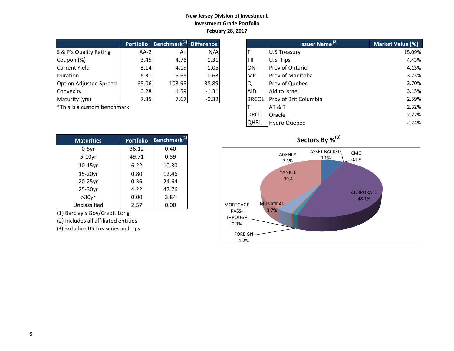### **New Jersey Division of Investment Investment Grade Portfolio Febuary 28, 2017**

|                               | <b>Portfolio</b> | Benchmark <sup>(1)</sup> | <b>Difference</b> |
|-------------------------------|------------------|--------------------------|-------------------|
| S & P's Quality Rating        | $AA-2$           | A+                       | N/A               |
| Coupon (%)                    | 3.45             | 4.76                     | 1.31              |
| <b>Current Yield</b>          | 3.14             | 4.19                     | $-1.05$           |
| Duration                      | 6.31             | 5.68                     | 0.63              |
| <b>Option Adjusted Spread</b> | 65.06            | 103.95                   | $-38.89$          |
| Convexity                     | 0.28             | 1.59                     | $-1.31$           |
| Maturity (yrs)                | 7.35             | 7.67                     | $-0.32$           |

| <b>Maturities</b> | <b>Portfolio</b> | Benchmark <sup>(1)</sup> |
|-------------------|------------------|--------------------------|
| $0-5$ yr          | 36.12            | 0.40                     |
| $5-10$ yr         | 49.71            | 0.59                     |
| $10-15$ yr        | 6.22             | 10.30                    |
| 15-20yr           | 0.80             | 12.46                    |
| 20-25yr           | 0.36             | 24.64                    |
| 25-30yr           | 4.22             | 47.76                    |
| $>30$ yr          | 0.00             | 3.84                     |
| Unclassified      | 2.57             | 0.00                     |

(1) Barclay's Gov/Credit Long

(2) Includes all affiliated entities

(3) Excluding US Treasuries and Tips

|                             | <b>Portfolio</b> | Benchmark <sup>(1)</sup> Difference |          |
|-----------------------------|------------------|-------------------------------------|----------|
| S & P's Quality Rating      | $AA-2$           | $A+$                                | N/A      |
| Coupon (%)                  | 3.45             | 4.76                                | 1.31     |
| Current Yield               | 3.14             | 4.19                                | $-1.05$  |
| Duration                    | 6.31             | 5.68                                | 0.63     |
| Option Adjusted Spread      | 65.06            | 103.95                              | $-38.89$ |
| Convexity                   | 0.28             | 1.59                                | $-1.31$  |
| Maturity (yrs)              | 7.35             | 7.67                                | $-0.32$  |
| *This is a custom benchmark |                  |                                     |          |
|                             |                  |                                     |          |
|                             |                  |                                     |          |



## $Sectors By \%<sup>(3)</sup>$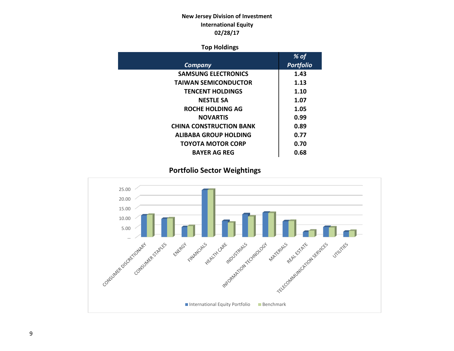## **New Jersey Division of Investment International Equity 02/28/17**

## **Top Holdings**

|                                | % of             |
|--------------------------------|------------------|
| Company                        | <b>Portfolio</b> |
| <b>SAMSUNG ELECTRONICS</b>     | 1.43             |
| <b>TAIWAN SEMICONDUCTOR</b>    | 1.13             |
| <b>TENCENT HOLDINGS</b>        | 1.10             |
| <b>NESTLE SA</b>               | 1.07             |
| <b>ROCHE HOLDING AG</b>        | 1.05             |
| <b>NOVARTIS</b>                | 0.99             |
| <b>CHINA CONSTRUCTION BANK</b> | 0.89             |
| ALIBABA GROUP HOLDING          | 0.77             |
| TOYOTA MOTOR CORP              | 0.70             |
| <b>BAYER AG REG</b>            | 0.68             |

 **Portfolio Sector Weightings**

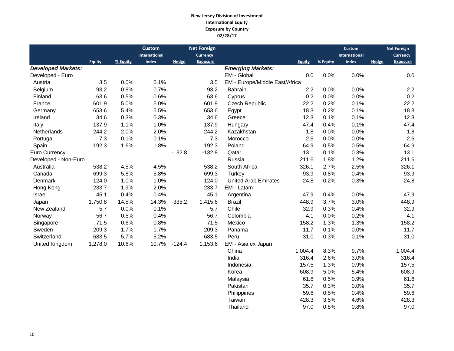#### **New Jersey Division of Investment International Equity Exposure by Country 02/28/17**

|                           |               |          | <b>Custom</b> |              | <b>Net Foreign</b> |                                |               |          | <b>Custom</b> |              | <b>Net Foreign</b> |
|---------------------------|---------------|----------|---------------|--------------|--------------------|--------------------------------|---------------|----------|---------------|--------------|--------------------|
|                           |               |          | International |              | <b>Currency</b>    |                                |               |          | International |              | Currency           |
|                           | <b>Equity</b> | % Equity | <b>Index</b>  | <b>Hedge</b> | <b>Exposure</b>    |                                | <b>Equity</b> | % Equity | <b>Index</b>  | <b>Hedge</b> | <b>Exposure</b>    |
| <b>Developed Markets:</b> |               |          |               |              |                    | <b>Emerging Markets:</b>       |               |          |               |              |                    |
| Developed - Euro          |               |          |               |              |                    | EM - Global                    | 0.0           | 0.0%     | 0.0%          |              | 0.0                |
| Austria                   | 3.5           | 0.0%     | 0.1%          |              | 3.5                | EM - Europe/Middle East/Africa |               |          |               |              |                    |
| Belgium                   | 93.2          | 0.8%     | 0.7%          |              | 93.2               | Bahrain                        | 2.2           | 0.0%     | 0.0%          |              | 2.2                |
| Finland                   | 63.6          | 0.5%     | 0.6%          |              | 63.6               | Cyprus                         | 0.2           | 0.0%     | 0.0%          |              | 0.2                |
| France                    | 601.9         | 5.0%     | 5.0%          |              | 601.9              | <b>Czech Republic</b>          | 22.2          | 0.2%     | 0.1%          |              | 22.2               |
| Germany                   | 653.6         | 5.4%     | 5.5%          |              | 653.6              | Egypt                          | 18.3          | 0.2%     | 0.1%          |              | 18.3               |
| Ireland                   | 34.6          | 0.3%     | 0.3%          |              | 34.6               | Greece                         | 12.3          | 0.1%     | 0.1%          |              | 12.3               |
| Italy                     | 137.9         | 1.1%     | 1.0%          |              | 137.9              | Hungary                        | 47.4          | 0.4%     | 0.1%          |              | 47.4               |
| Netherlands               | 244.2         | 2.0%     | 2.0%          |              | 244.2              | Kazakhstan                     | 1.8           | 0.0%     | 0.0%          |              | 1.8                |
| Portugal                  | 7.3           | 0.1%     | 0.1%          |              | 7.3                | Morocco                        | 2.6           | 0.0%     | 0.0%          |              | 2.6                |
| Spain                     | 192.3         | 1.6%     | 1.8%          |              | 192.3              | Poland                         | 64.9          | 0.5%     | 0.5%          |              | 64.9               |
| Euro Currency             |               |          |               | $-132.8$     | $-132.8$           | Qatar                          | 13.1          | 0.1%     | 0.3%          |              | 13.1               |
| Developed - Non-Euro      |               |          |               |              |                    | Russia                         | 211.6         | 1.8%     | 1.2%          |              | 211.6              |
| Australia                 | 538.2         | 4.5%     | 4.5%          |              | 538.2              | South Africa                   | 326.1         | 2.7%     | 2.5%          |              | 326.1              |
| Canada                    | 699.3         | 5.8%     | 5.8%          |              | 699.3              | Turkey                         | 93.9          | 0.8%     | 0.4%          |              | 93.9               |
| Denmark                   | 124.0         | 1.0%     | 1.0%          |              | 124.0              | <b>United Arab Emirates</b>    | 24.8          | 0.2%     | 0.3%          |              | 24.8               |
| Hong Kong                 | 233.7         | 1.9%     | 2.0%          |              | 233.7              | EM - Latam                     |               |          |               |              |                    |
| Israel                    | 45.1          | 0.4%     | 0.4%          |              | 45.1               | Argentina                      | 47.9          | 0.4%     | 0.0%          |              | 47.9               |
| Japan                     | 1,750.8       | 14.5%    | 14.3%         | $-335.2$     | 1,415.6            | <b>Brazil</b>                  | 448.9         | 3.7%     | 3.0%          |              | 448.9              |
| New Zealand               | 5.7           | 0.0%     | 0.1%          |              | 5.7                | Chile                          | 32.9          | 0.3%     | 0.4%          |              | 32.9               |
| Norway                    | 56.7          | 0.5%     | 0.4%          |              | 56.7               | Colombia                       | 4.1           | 0.0%     | 0.2%          |              | 4.1                |
| Singapore                 | 71.5          | 0.6%     | 0.8%          |              | 71.5               | Mexico                         | 158.2         | 1.3%     | 1.3%          |              | 158.2              |
| Sweden                    | 209.3         | 1.7%     | 1.7%          |              | 209.3              | Panama                         | 11.7          | 0.1%     | 0.0%          |              | 11.7               |
| Switzerland               | 683.5         | 5.7%     | 5.2%          |              | 683.5              | Peru                           | 31.0          | 0.3%     | 0.1%          |              | 31.0               |
| United Kingdom            | 1,278.0       | 10.6%    | 10.7%         | $-124.4$     | 1,153.6            | EM - Asia ex Japan             |               |          |               |              |                    |
|                           |               |          |               |              |                    | China                          | 1,004.4       | 8.3%     | 9.7%          |              | 1,004.4            |
|                           |               |          |               |              |                    | India                          | 316.4         | 2.6%     | 3.0%          |              | 316.4              |
|                           |               |          |               |              |                    | Indonesia                      | 157.5         | 1.3%     | 0.9%          |              | 157.5              |
|                           |               |          |               |              |                    | Korea                          | 608.9         | 5.0%     | 5.4%          |              | 608.9              |
|                           |               |          |               |              |                    | Malaysia                       | 61.6          | 0.5%     | 0.9%          |              | 61.6               |
|                           |               |          |               |              |                    | Pakistan                       | 35.7          | 0.3%     | 0.0%          |              | 35.7               |
|                           |               |          |               |              |                    | Philippines                    | 59.6          | 0.5%     | 0.4%          |              | 59.6               |
|                           |               |          |               |              |                    | Taiwan                         | 428.3         | 3.5%     | 4.6%          |              | 428.3              |

Thailand 97.0 0.8% 0.8% 97.0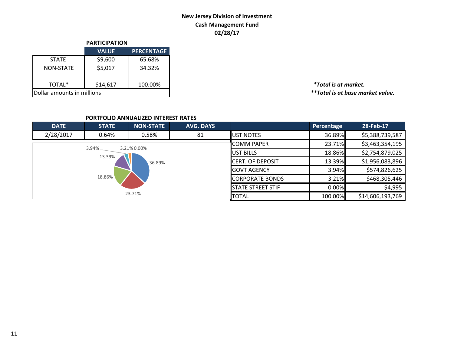## **New Jersey Division of Investment Cash Management Fund 02/28/17**

|                            | <b>PARTICIPATION</b> |                   |
|----------------------------|----------------------|-------------------|
|                            | <b>VALUE</b>         | <b>PERCENTAGE</b> |
| <b>STATE</b>               | \$9,600              | 65.68%            |
| <b>NON-STATE</b>           | \$5,017              | 34.32%            |
| TOTAL*                     | \$14,617             | 100.00%           |
| Dollar amounts in millions |                      |                   |

TOTAL\* \$14,617 100.00% *\*Total is at market.*  $*$ \*Total is at base market value.

### **PORTFOLIO ANNUALIZED INTEREST RATES**

| <b>DATE</b> | <b>STATE</b> | <b>NON-STATE</b> | <b>AVG. DAYS</b> |                          | Percentage | 28-Feb-17        |
|-------------|--------------|------------------|------------------|--------------------------|------------|------------------|
| 2/28/2017   | 0.64%        | 0.58%            | 81               | <b>UST NOTES</b>         | 36.89%     | \$5,388,739,587  |
|             | $3.94\%$     | 3.21% 0.00%      |                  | <b>COMM PAPER</b>        | 23.71%     | \$3,463,354,195  |
|             | 13.39%       |                  |                  | <b>IUST BILLS</b>        | 18.86%     | \$2,754,879,025  |
|             |              | 36.89%           |                  | <b>CERT. OF DEPOSIT</b>  | 13.39%     | \$1,956,083,896  |
|             |              |                  |                  | <b>IGOVT AGENCY</b>      | 3.94%      | \$574,826,625    |
|             | 18.86%       |                  |                  | <b>CORPORATE BONDS</b>   | 3.21%      | \$468,305,446    |
|             |              |                  |                  | <b>STATE STREET STIF</b> | 0.00%      | \$4,995          |
|             |              | 23.71%           |                  | <b>TOTAL</b>             | 100.00%    | \$14,606,193,769 |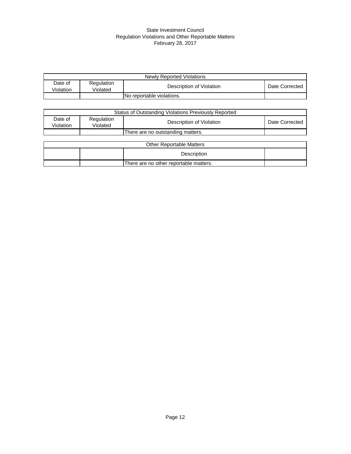#### State Investment Council Regulation Violations and Other Reportable Matters February 28, 2017

|                      | Newly Reported Violations |                           |                |  |  |  |
|----------------------|---------------------------|---------------------------|----------------|--|--|--|
| Date of<br>Violation | Regulation<br>Violated    | Description of Violation  | Date Corrected |  |  |  |
|                      |                           | No reportable violations. |                |  |  |  |

|                      | Status of Outstanding Violations Previously Reported |                                        |                |  |  |  |
|----------------------|------------------------------------------------------|----------------------------------------|----------------|--|--|--|
| Date of<br>Violation | Regulation<br>Violated                               | Description of Violation               | Date Corrected |  |  |  |
|                      |                                                      | There are no outstanding matters.      |                |  |  |  |
|                      |                                                      |                                        |                |  |  |  |
|                      |                                                      | <b>Other Reportable Matters</b>        |                |  |  |  |
|                      |                                                      | Description                            |                |  |  |  |
|                      |                                                      | There are no other reportable matters. |                |  |  |  |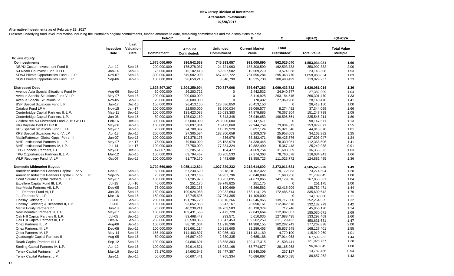#### **Alternative Investments as of February 28, 2017**

Presents underlying fund level information including the Portfolio's original commitments, funded amounts to date, remaining commitments and the distributions to date.

|                                                    |                   |                           | Feb-17            | А                                  |                                      | в                              | C                                        | $=(B+C)$           | $=(B+C)/A$                            |
|----------------------------------------------------|-------------------|---------------------------|-------------------|------------------------------------|--------------------------------------|--------------------------------|------------------------------------------|--------------------|---------------------------------------|
|                                                    | Inception<br>Date | Last<br>Valuation<br>Date | <b>Commitment</b> | Amount<br>Contributed <sub>1</sub> | <b>Unfunded</b><br><b>Commitment</b> | <b>Current Market</b><br>Value | <b>Total</b><br>Distributed <sup>2</sup> | <b>Total Value</b> | <b>Total Value</b><br><b>Multiple</b> |
| <b>Private Equity</b>                              |                   |                           |                   |                                    |                                      |                                |                                          |                    |                                       |
| <b>Co-Investments</b>                              |                   |                           | 1,675,000,000     | 936,542,568                        | 745,393,057                          | 991,009,890                    | 562,025,040                              | 1,553,034,931      | 1.66                                  |
| NB/NJ Custom Investment Fund II                    | Apr-12            | Sep-16                    | 200,000,000       | 175,278,037                        | 24,721,963                           | 188,308,599                    | 162,593,733                              | 350,902,332        | 2.00                                  |
| NJ Roark Co-Invest Fund III LLC                    | Jan-14            | Sep-16                    | 75,000,000        | 15,102,418                         | 59,897,582                           | 19,569,270                     | 3,574,038                                | 23,143,308         | 1.53                                  |
| SONJ Private Opportunities Fund II, L.P.           | Nov-07            | Sep-16                    | 1,300,000,000     | 649,502,903                        | 657,432,722                          | 764,596,284                    | 295,363,770                              | 1,059,960,054      | 1.63                                  |
| SONJ Private Opportunities Fund, L.P.              | Sep-06            | Sep-16                    | 100,000,000       | 96,659,210                         | 3,340,790                            | 18,535,738                     | 100,493,499                              | 119,029,237        | 1.23                                  |
| <b>Distressed Debt</b>                             |                   |                           | 1,827,807,307     | 1,204,250,904                      | 790,737,008                          | 536,647,283                    | 1,099,433,732                            | 1,636,081,014      | 1.36                                  |
| Avenue Asia Special Situations Fund IV             | Aug-06            | Sep-16                    | 30,000,000        | 26,283,722                         | $\Omega$                             | 2,442,532                      | 24,940,377                               | 27,382,909         | 1.04                                  |
| Avenue Special Situations Fund V, LP               | May-07            | Sep-16                    | 200,000,000       | 200,000,000                        | $\boldsymbol{0}$                     | 3,116,925                      | 263,184,545                              | 266,301,470        | 1.33                                  |
| <b>Avenue Special Situations IV</b>                | Nov-05            | Sep-16                    | 20,000,000        | 20,000,000                         | $\Omega$                             | 170,482                        | 27,969,988                               | 28,140,470         | 1.41                                  |
| BSP Special Situations Fund L.P.                   | $Jan-17$          | Dec-16                    | 150,000,000       | 26,413,150                         | 123,586,850                          | 26,413,150                     | $\Omega$                                 | 26,413,150         | 1.00                                  |
| Catalyst Fund LP V                                 | <b>Nov-15</b>     | Jan-17                    | 100,000,000       | 22,500,000                         | 81,900,034                           | 29,069,577                     | 8,274,492                                | 37,344,069         | 1.66                                  |
| Centerbridge Capital Partners II, L.P.             | May-11            | Sep-16                    | 100,000,000       | 138,423,088                        | 15,033,380                           | 74,879,885                     | 76,367,904                               | 151,247,789        | 1.09                                  |
| Centerbridge Capital Partners, L.P.                | Jun-06            | Sep-16                    | 80,000,000        | 125,032,169                        | 5,843,348                            | 26,949,653                     | 198,596,561                              | 225,546,214        | 1.80                                  |
| GoldenTree NJ Distressed Fund 2015 GP LLC          | Feb-16            | Dec-16                    | 300,000,000       | 87,000,000                         | 213,000,000                          | 98,147,571                     | $\mathbf 0$                              | 98,147,571         | 1.13                                  |
| HIG Bayside Debt & LBO II                          | May-08            | Sep-16                    | 100,000,000       | 99,097,364                         | 16,473,868                           | 79,944,759                     | 73,934,312                               | 153,879,071        | 1.55                                  |
| KPS Special Situations Fund III, LP                | May-07            | Sep-16                    | 25,000,000        | 24,708,397                         | 11,019,920                           | 8,897,124                      | 35,921,546                               | 44,818,670         | 1.81                                  |
| KPS Special Situations Fund IV, LP                 | Apr-13            | Sep-16                    | 200,000,000       | 27,305,584                         | 182,300,659                          | 8,209,379                      | 25,953,003                               | 34, 162, 382       | 1.25                                  |
| MatlinPatterson Global Opps. Ptnrs. III            | Jun-07            | Sep-16                    | 100,000,000       | 103,378,178                        | 4,336,976                            | 68,382,471                     | 59,425,576                               | 127,808,047        | 1.24                                  |
| MHR Institutional Partners III, L.P.               | May-07            | Jan-17                    | 75,000,000        | 79,500,000                         | 26,153,979                           | 34,338,445                     | 78,030,061                               | 112,368,506        | 1.41                                  |
| MHR Institutional Partners IV, L.P.                | $Jul-14$          | $Jan-17$                  | 100,000,000       | 27,750,000                         | 77,334,324                           | 19,882,490                     | 5,367,448                                | 25,249,938         | 0.91                                  |
| TPG Financial Partners, L.P.                       | May-08            | Dec-16                    | 47,807,307        | 35,285,615                         | 104,477                              | 4,669,754                      | 31,683,569                               | 36,353,323         | 1.03                                  |
| TPG Opportunities Partners II, L.P.                | Mar-12            | Sep-16                    | 100,000,000       | 69,794,467                         | 30,205,533                           | 37,274,363                     | 78,760,578                               | 116,034,941        | 1.66                                  |
| WLR Recovery Fund IV, LP                           | Oct-07            | Sep-16                    | 100,000,000       | 91,779,170                         | 3,443,659                            | 13,858,723                     | 111,023,772                              | 124,882,495        | 1.36                                  |
| <b>Domestic Midmarket Buyout</b>                   |                   |                           | 3,729,660,000     | 3,085,112,824                      | 1,027,329,232                        | 2,212,614,600                  | 2,373,011,621                            | 4,585,626,220      | 1.49                                  |
| American Industrial Partners Capital Fund V        | Dec-11            | Sep-16                    | 50,000,000        | 57,230,690                         | 3,918,181                            | 54,102,422                     | 19,172,083                               | 73,274,504         | 1.28                                  |
| American Industrial Partners Capital Fund VI, L.P. | Sep-15            | Sep-16                    | 75,000,000        | 21,783,160                         | 54,907,796                           | 20,048,089                     | 1,690,956                                | 21,739,045         | 1.00                                  |
| Court Square Capital Partners II, L.P.             | May-07            | Sep-16                    | 100,000,000       | 91,285,978                         | 10,267,895                           | 24,673,865                     | 143,179,516                              | 167,853,381        | 1.84                                  |
| Excellere Capital Fund III, L.P.                   | $Jul-15$          | Jun-16                    | 40,000,000        | 251,175                            | 39,748,825                           | 251,175                        | $\mathbf 0$                              | 251,175            | 1.00                                  |
| InterMedia Partners VII, L.P.                      | $Dec-05$          | Sep-16                    | 75,000,000        | 96,252,158                         | 1,190,669                            | 46,366,562                     | 92,415,909                               | 138,782,471        | 1.44                                  |
| JLL Partners Fund VI, LP                           | <b>Jun-08</b>     | Sep-16                    | 150,000,000       | 190,924,988                        | 20,932,693                           | 163,114,128                    | 172,486,514                              | 335,600,642        | 1.76                                  |
| JLL Partners VII, LP                               | Mar-16            | Sep-16                    | 150,000,000       | 12,745,695                         | 137,254,305                          | 14,109,000                     | $\Omega$                                 | 14,109,000         | 1.11                                  |
| Lindsay Goldberg III, L.P.                         | Jul-08            | Sep-16                    | 200,000,000       | 191,796,720                        | 13,016,266                           | 112,546,965                    | 139,717,600                              | 252,264,565        | 1.32                                  |
| Lindsay, Goldberg & Bessemer II, L.P.              | Jul-06            | Sep-16                    | 100,000,000       | 93,052,833                         | 6,947,167                            | 20,090,161                     | 112,042,618                              | 132, 132, 779      | 1.42                                  |
| Marlin Equity Partners IV                          | $Jun-13$          | Sep-16                    | 75,000,000        | 40,239,211                         | 34,763,583                           | 45, 138, 374                   | 717,746                                  | 45,856,120         | 1.14                                  |
| New Mountain Partners III, L.P.                    | May-07            | Sep-16                    | 100,000,000       | 109,431,553                        | 7,473,728                            | 72,043,664                     | 112,987,007                              | 185,030,671        | 1.69                                  |
| Oak Hill Capital Partners II, L.P.                 | <b>Jul-05</b>     | Sep-16                    | 75,000,000        | 83,468,447                         | 233,571                              | 5,610,035                      | 127,688,435                              | 133,298,469        | 1.60                                  |
| Oak Hill Capital Partners III, L.P.                | Oct-07            | Sep-16                    | 250,000,000       | 305,590,363                        | 13,647,453                           | 139,502,259                    | 311,129,422                              | 450,631,681        | 1.47                                  |
| Onex Partners II, LP                               | Aug-06            | Sep-16                    | 100,000,000       | 88,781,604                         | 11,218,396                           | 14,980,155                     | 162,282,743                              | 177,262,898        | 2.00                                  |
| Onex Partners III, LP                              | Dec-08            | Sep-16                    | 100,000,000       | 108,661,114                        | 10,218,605                           | 82,289,453                     | 85,837,948                               | 168,127,401        | 1.55                                  |
| Onex Partners IV, LP                               | May-14            | Sep-16                    | 166,490,000       | 114,403,897                        | 52,086,103                           | 111,131,169                    | 4,779,100                                | 115,910,269        | 1.01                                  |
| Quadrangle Capital Partners II                     | Aug-05            | Sep-16                    | 50,000,000        | 46,867,499                         | 2,830,335                            | 9,685,188                      | 57,914,063                               | 67,599,252         | 1.44                                  |
| Roark Capital Partners III L.P.                    | Sep-12            | Sep-16                    | 100,000,000       | 94,886,601                         | 13,588,383                           | 100,417,315                    | 21,508,441                               | 121,925,757        | 1.28                                  |
| Sterling Capital Partners IV, L.P.                 | Apr-12            | Sep-16                    | 100,000,000       | 89,914,521                         | 16,082,168                           | 68,774,877                     | 28,165,968                               | 96,940,845         | 1.08                                  |
| Tenex Capital Partners II, LP                      | Mar-16            | Sep-16                    | 78,170,000        | 14,692,643                         | 63,477,357                           | 13,545,309                     | 237,127                                  | 13,782,436         | 0.94                                  |
| Tenex Capital Partners, L.P.                       | Jan-11            |                           | 50,000,000        | 60,607,441                         | 4,765,334                            | 40,686,667                     | 45,970,595                               | 86,657,262         | 1.43                                  |
|                                                    |                   | Sep-16                    |                   |                                    |                                      |                                |                                          |                    |                                       |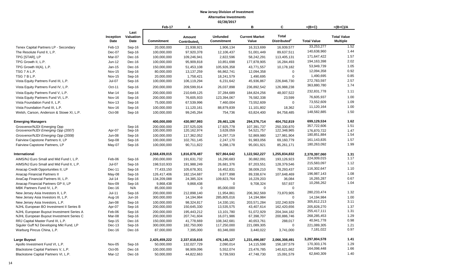|                                          |                   |                           | Feb-17            | Α                                  |                                      | в                              | C                                        | $=(B+C)$           | $=(B+C)/A$                            |
|------------------------------------------|-------------------|---------------------------|-------------------|------------------------------------|--------------------------------------|--------------------------------|------------------------------------------|--------------------|---------------------------------------|
|                                          | Inception<br>Date | Last<br>Valuation<br>Date | <b>Commitment</b> | Amount<br>Contributed <sub>1</sub> | <b>Unfunded</b><br><b>Commitment</b> | <b>Current Market</b><br>Value | <b>Total</b><br>Distributed <sup>2</sup> | <b>Total Value</b> | <b>Total Value</b><br><b>Multiple</b> |
| Tenex Capital Partners LP - Secondary    | Feb-13            | Sep-16                    | 20,000,000        | 21,938,921                         | 1,906,134                            | 16,313,699                     | 16,939,577                               | 33,253,277         | 1.52                                  |
| The Resolute Fund II, L.P.               | Dec-07            | Sep-16                    | 100,000,000       | 97,920,378                         | 12,106,437                           | 51,001,449                     | 89,637,511                               | 140,638,960        | 1.44                                  |
| TPG [STAR], LP                           | Mar-07            | Dec-16                    | 100,000,000       | 109,246,941                        | 2,822,596                            | 58,242,291                     | 113,405,131                              | 171,647,422        | 1.57                                  |
| TPG Growth II, L.P.                      | Jun-12            | Dec-16                    | 100,000,000       | 95,909,818                         | 10,851,698                           | 177,878,905                    | 16,284,493                               | 194,163,398        | 2.02                                  |
| TPG Growth III(A), L.P.                  | Jan-15            | Dec-16                    | 150,000,000       | 51,453,108                         | 105,926,358                          | 43,771,557                     | 10,178,182                               | 53,949,739         | 1.05                                  |
| TSG 7 A L.P.                             | <b>Nov-15</b>     | Sep-16                    | 80,000,000        | 13,137,259                         | 66,862,741                           | 12,094,358                     | 0                                        | 12,094,358         | 0.92                                  |
| TSG 7 B L.P.                             | <b>Nov-15</b>     | Sep-16                    | 20,000,000        | 1,758,421                          | 18,241,579                           | 1,490,695                      | $\mathbf 0$                              | 1,490,695          | 0.85                                  |
| Vista Equity Partners Fund III, L.P.     | $Jul-07$          | Sep-16                    | 100,000,000       | 106,119,294                        | 6,231,642                            | 45,936,867                     | 226,846,730                              | 272,783,597        | 2.57                                  |
| Vista Equity Partners Fund IV, L.P.      | Oct-11            | Sep-16                    | 200,000,000       | 209,599,914                        | 26,037,898                           | 236,892,542                    | 126,988,238                              | 363,880,780        | 1.74                                  |
| Vista Equity Partners Fund V, L.P.       | Mar-14            | Sep-16                    | 200,000,000       | 210,649,125                        | 37,284,689                           | 184,824,256                    | 48,007,522                               | 232,831,778        | 1.11                                  |
| Vista Equity Partners Fund VI, L.P.      | Nov-16            | Sep-16                    | 200,000,000       | 76,605,933                         | 123,394,067                          | 76,582,338                     | 23,599                                   | 76,605,937         | 1.00                                  |
| Vista Foundation Fund II, L.P.           | $Nov-13$          | Sep-16                    | 75,000,000        | 67,539,996                         | 7,460,004                            | 73,552,609                     | $\mathbf 0$                              | 73,552,609         | 1.09                                  |
| Vista Foundation Fund III, L.P.          | Nov-16            | Sep-16                    | 100,000,000       | 11,120,161                         | 88,879,839                           | 11,101,802                     | 18,362                                   | 11,120,164         | 1.00                                  |
| Welsh, Carson, Anderson & Stowe XI, L.P. | Oct-08            | Sep-16                    | 100,000,000       | 99,245,264                         | 754,736                              | 63,824,400                     | 84,758,485                               | 148,582,885        | 1.50                                  |
| <b>Emerging Managers</b>                 |                   |                           | 400,000,000       | 430,997,993                        | 29,461,126                           | 294,376,714                    | 404,752,819                              | 699,129,534        | 1.62                                  |
| Grosvenor/NJDI Emerging Opp              |                   | Sep-16                    | 200.000.000       | 237.525.026                        | 17.925.778                           | 107.391.737                    | 250.330.870                              | 357,722,606        | 1.51                                  |
| Grosvenor/NJDI Emerging Opp (2007)       | Apr-07            | Sep-16                    | 100,000,000       | 120, 162, 974                      | 3,628,059                            | 54,521,757                     | 122,348,965                              | 176,870,722        | 1.47                                  |
| Grosvenor/NJDI Emerging Opp (2008)       | <b>Jun-08</b>     | Sep-16                    | 100,000,000       | 117,362,052                        | 14,297,719                           | 52,869,980                     | 127,981,904                              | 180,851,884        | 1.54                                  |
| Fairview Capstone Partners II, LP        | Sep-08            | Sep-16                    | 100,000,000       | 102,761,145                        | 2,247,170                            | 91,983,056                     | 69,160,779                               | 161,143,835        | 1.57                                  |
| Fairview Capstone Partners, LP           | May-07            | Sep-16                    | 100,000,000       | 90,711,822                         | 9,288,178                            | 95,001,921                     | 85,261,171                               | 180,263,092        | 1.99                                  |
| International                            |                   |                           | 2,568,439,015     | 1,816,878,487                      | 927,864,642                          | 1,122,562,227                  | 1,255,834,832                            | 2,378,397,060      | 1.31                                  |
| AIMS/NJ Euro Small and Mid Fund I, L.P.  | Feb-06            | Sep-16                    | 200,000,000       | 191,631,732                        | 16,290,683                           | 30,882,091                     | 193,126,923                              | 224,009,015        | 1.17                                  |
| AIMS/NJ Euro Small and Mid Fund II, L.P. | $Jul-07$          | Sep-16                    | 198,510,933       | 191,988,249                        | 26,681,376                           | 87,203,551                     | 128,379,546                              | 215,583,097        | 1.12                                  |
| Anacap Credit Opportunities II, LP       | Dec-11            | Sep-16                    | 77,433,150        | 105,678,301                        | 16,452,831                           | 38,009,210                     | 78,293,437                               | 116,302,647        | 1.10                                  |
| Anacap Financial Partners II             | May-08            | Sep-16                    | 126,417,406       | 182, 154, 687                      | 9,877,898                            | 89,338,674                     | 107,648,469                              | 196,987,143        | 1.08                                  |
| AnaCap Financial Partners III, L.P.      | $Jul-14$          | Sep-16                    | 134,209,088       | 24,385,324                         | 109,823,764                          | 16,229,203                     | 36,084                                   | 16,265,287         | 0.67                                  |
| Anacap Financial Partners GP II, LP      | Nov-09            | Sep-16                    | 9,868,438         | 9,868,438                          | $\mathbf 0$                          | 9,708,324                      | 557,937                                  | 10,266,262         | 1.04                                  |
| MBK Partners Fund IV, L.P.               | Dec-16            | N/A                       | 85,000,000        | $\Omega$                           | 85,000,000                           | $\Omega$                       | $\mathbf 0$                              |                    |                                       |
| New Jersey Asia Investors II, L.P.       | $Jul-11$          | Sep-16                    | 200,000,000       | 212,898,140                        | 11,954,861                           | 206,362,569                    | 73,870,905                               | 280,233,474        | 1.32                                  |
| New Jersey Asia Investors III, L.P.      | Aug-16            | Jun-16                    | 300,000,000       | 14,194,984                         | 285,805,016                          | 14,194,984                     | $\mathbf 0$                              | 14,194,984         | 1.00                                  |
| New Jersey Asia Investors, L.P.          | Jan-08            | Sep-16                    | 100,000,000       | 98,324,817                         | 14,330,191                           | 203.571.284                    | 102,240,929                              | 305,812,213        | 3.11                                  |
| NJHL European BO Investment II Series B  | Apr-07            | Sep-16                    | 200,000,000       | 150,645,330                        | 13,535,575                           | 43,407,614                     | 162,420,656                              | 205,828,270        | 1.37                                  |
| NJHL European Buyout Investment Series A | Feb-06            | Sep-16                    | 200,000,000       | 195,443,212                        | 13,101,780                           | 51,072,929                     | 204,344,182                              | 255,417,111        | 1.31                                  |
| NJHL European Buyout Investment Series C | Mar-08            | Sep-16                    | 200,000,000       | 207,741,604                        | 16,071,986                           | 67,398,707                     | 200,886,746                              | 268,285,453        | 1.29                                  |
| RRJ Capital Master Fund III, L.P.        | $Sep-15$          | Dec-16                    | 150,000,000       | 41,778,669                         | 108,342,681                          | 40,653,761                     | 288,017                                  | 40,941,778         | 0.98                                  |
| Siguler Guff NJ Developing Mkt Fund, LP  | Dec-13            | Sep-16                    | 300,000,000       | 182,750,000                        | 117,250,000                          | 221,089,305                    | $\mathbf 0$                              | 221,089,305        | 1.21                                  |
| Warburg Pincus China, L.P.               | Dec-16            | Dec-16                    | 87,000,000        | 7,395,000                          | 83,346,000                           | 3,440,022                      | 3,741,000                                | 7,181,022          | 0.97                                  |
| Large Buyout                             |                   |                           | 2,425,459,222     | 2,337,618,616                      | 476,145,127                          | 1,231,496,087                  | 2,066,308,491                            | 3,297,804,578      | 1.41                                  |
| Apollo Investment Fund VI, L.P.          | Nov-05            | Sep-16                    | 50,000,000        | 132,027,729                        | 2,090,014                            | 14,115,598                     | 156, 187, 579                            | 170,303,176        | 1.29                                  |
| Blackstone Capital Partners V, L.P.      | $Oct-05$          | Dec-16                    | 100,000,000       | 98,909,096                         | 5,552,074                            | 23,476,785                     | 140,621,662                              | 164,098,448        | 1.66                                  |
| Blackstone Capital Partners VI, L.P.     | Mar-12            | Dec-16                    | 50,000,000        | 44,822,663                         | 9,739,593                            | 47,748,730                     | 15,091,579                               | 62,840,309         | 1.40                                  |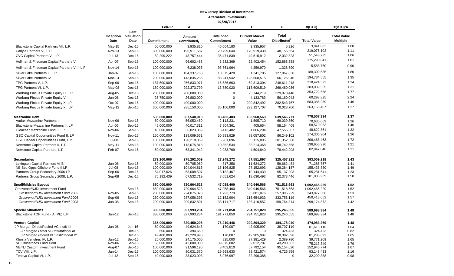|                                                                         |                    |                           | Feb-17                    | A                                  |                               | B                              | C                                        | $=(B+C)$                  | $=(B+C)/A$                            |
|-------------------------------------------------------------------------|--------------------|---------------------------|---------------------------|------------------------------------|-------------------------------|--------------------------------|------------------------------------------|---------------------------|---------------------------------------|
|                                                                         | Inception<br>Date  | Last<br>Valuation<br>Date | Commitment                | Amount<br>Contributed <sub>1</sub> | <b>Unfunded</b><br>Commitment | <b>Current Market</b><br>Value | <b>Total</b><br>Distributed <sup>2</sup> | <b>Total Value</b>        | <b>Total Value</b><br><b>Multiple</b> |
| Blackstone Capital Partners VII, L.P.                                   | $May-15$           | Dec-16                    | 50,000,000                | 3,935,820                          | 46,064,180                    | 3,935,957                      | 5,926                                    | 3,941,883                 | 1.00                                  |
| Carlyle Partners VI, L.P.                                               | <b>Nov-13</b>      | Sep-16                    | 300,000,000               | 196,911,587                        | 120,799,040                   | 170,919,438                    | 48,155,664                               | 219,075,102               | 1.11                                  |
| CVC Capital Partners VI, LP                                             | $Jul-13$           | Dec-16                    | 82,209,222                | 48,757,444                         | 35,471,839                    | 49,515,912                     | 2,032,823                                | 51,548,735                | 1.06                                  |
| Hellman & Friedman Capital Partners VI                                  | Apr-07             | Sep-16                    | 100,000,000               | 96,602,483                         | 3,232,369                     | 22,402,454                     | 152,888,388                              | 175,290,841               | 1.81                                  |
| Hellman & Friedman Capital Partners VIII, L.P.                          | Nov-14             | Sep-16                    | 100,000,000               | 6,238,036                          | 93,761,964                    | 4,259,970                      | 1,328,790                                | 5,588,760                 | 0.90                                  |
| Silver Lake Partners III, LP                                            | Jan-07             | Sep-16                    | 100,000,000               | 104,337,753                        | 10,675,428                    | 61,241,705                     | 127,067,830                              | 188,309,535               | 1.80                                  |
| Silver Lake Partners IV                                                 | Mar-13             | Sep-16                    | 200,000,000               | 143,835,236                        | 83,241,942                    | 128,608,515                    | 66,126,040                               | 194,734,555               | 1.35                                  |
| TPG Partners V, L.P.                                                    | Sep-06             | Dec-16                    | 187,500,000               | 256,833,971                        | 16,636,663                    | 69,813,304                     | 248,611,218                              | 318,424,522               | 1.24                                  |
| TPG Partners VI, L.P.                                                   | May-08             | Dec-16                    | 180,000,000               | 292,373,799                        | 13,780,020                    | 113,609,519                    | 269,480,036                              | 383,089,555               | 1.31                                  |
|                                                                         |                    |                           |                           |                                    | $\mathbf 0$                   |                                |                                          | 353,722,668               | 1.77                                  |
| Warburg Pincus Private Equity IX, LP                                    | Aug-05<br>Jun-06   | Dec-16<br>Dec-16          | 200,000,000               | 200,000,000                        | $\mathbf 0$                   | 23,744,219<br>4,133,783        | 329,978,448                              | 60,293,825                | 2.24                                  |
| Warburg Pincus Private Equity VIII                                      |                    |                           | 25,750,000                | 26,883,000                         |                               |                                | 56,160,043                               | 583,386,259               | 1.46                                  |
| Warburg Pincus Private Equity X, LP                                     | Oct-07             | Dec-16                    | 400,000,000               | 400,000,000                        | 0                             | 200,842,492                    | 382,543,767                              |                           |                                       |
| Warburg Pincus Private Equity XI, LP                                    | $May-12$           | Sep-16                    | 300,000,000               | 285,150,000                        | 35,100,000                    | 293,127,707                    | 70,028,700                               | 363,156,407               | 1.27                                  |
| <b>Mezzanine Debt</b>                                                   |                    |                           | 535.000.000               | 567.540.910                        | 83.482.403                    | 138.960.563                    | 639.546.771                              | 778,507,334               | 1.37                                  |
| <b>Audax Mezzanine Partners II</b>                                      | Nov-06             | Sep-16                    | 50,000,000                | 56,053,460                         | 2,113,231                     | 1,595,710                      | 69,039,360                               | 70,635,069                | 1.26                                  |
| Blackstone Mezzanine Partners II, LP                                    | Apr-06             | Sep-16                    | 45,000,000                | 40,017,311                         | 7,804,361                     | 405,654                        | 58,164,409                               | 58,570,063                | 1.46                                  |
| Gleacher Mezzanine Fund II, LP                                          | Nov-06             | Sep-16                    | 40,000,000                | 36,823,869                         | 3,413,482                     | 1,066,294                      | 47,556,567                               | 48,622,861                | 1.32                                  |
| GSO Capital Opportunities Fund II, LP                                   | <b>Nov-11</b>      | Sep-16                    | 150,000,000               | 138,009,651                        | 50,983,929                    | 88,057,802                     | 86,249,102                               | 174,306,904               | 1.26                                  |
| GSO Capital Opportunities Fund, L.P.                                    | Jul-08             | Sep-16                    | 100,000,000               | 120,218,859                        | 6,281,096                     | 5,115,895                      | 201,352,568                              | 206,468,463               | 1.72                                  |
| Newstone Capital Partners II, L.P.                                      | $May-11$           | Sep-16                    | 100,000,000               | 113,075,818                        | 10,852,534                    | 38,214,368                     | 98,742,558                               | 136,956,926               | 1.21                                  |
| Newstone Capital Partners, L.P.                                         | Feb-07             | Sep-16                    | 50,000,000                | 63,341,942                         | 2,033,769                     | 4,504,840                      | 78,442,208                               | 82,947,048                | 1.31                                  |
|                                                                         |                    |                           |                           |                                    |                               |                                |                                          |                           |                                       |
| <b>Secondaries</b>                                                      |                    |                           | 279,200,066               | 275,292,009                        | 27,248,272                    | 67,551,897                     | 325,457,321                              | 393,009,218               | 1.43                                  |
| Lexington Capital Partners VI-B                                         | Jun-06             | Sep-16                    | 50,000,000                | 50,705,969                         | 817,356                       | 11,624,272                     | 59,662,484                               | 71,286,757                | 1.41                                  |
| NB Sec Opps Offshore Fund II LP                                         | Jul-08             | Sep-16                    | 100,000,000               | 104,044,815                        | 15,196,825                    | 27,152,693                     | 128,284,187                              | 155,436,880               | 1.49                                  |
| Partners Group Secondary 2006 LP<br>Partners Group Secondary 2008, L.P. | Sep-06<br>Sep-08   | $Dec-16$<br>Dec-16        | 54,017,626<br>75,182,439  | 53,008,507<br>67,532,719           | 3,182,467<br>8,051,624        | 10,144,439<br>18,630,493       | 55,137,203<br>82,373,446                 | 65,281,641<br>101,003,939 | 1.23<br>1.50                          |
|                                                                         |                    |                           |                           |                                    |                               |                                |                                          |                           |                                       |
| <b>Small/Midsize Buyout</b>                                             |                    |                           | 650,000,000               | 720,964,523                        | 47,058,400                    | 340,946,566                    | 751,518,663                              | 1,092,465,229             | 1.52                                  |
| Grosvenor/NJDI Investment Fund                                          |                    | Sep-16                    | 650,000,000               | 720,964,523                        | 47,058,400                    | 340,946,566                    | 751,518,663                              | 1,092,465,229             | 1.52                                  |
| Grosvenor/NJDI Investment Fund 2005                                     | Nov-05             | Sep-16                    | 200,000,000               | 224,075,328                        | 1,793,779                     | 85,881,076                     | 257,996,229                              | 343,877,306               | 1.53                                  |
| Grosvenor/NJDI Investment Fund 2006                                     | Sep-06             | Sep-16                    | 250,000,000               | 287,056,393                        | 12,152,904                    | 116,654,933                    | 333,758,119                              | 450,413,052               | 1.57                                  |
| Grosvenor/NJDI Investment Fund 2008                                     | <b>Jun-08</b>      | Sep-16                    | 200,000,000               | 209,832,801                        | 33,111,717                    | 138,410,557                    | 159,764,314                              | 298,174,872               | 1.42                                  |
| <b>Special Situations</b>                                               |                    |                           | 330,000,000               | 397,993,234                        | 191,771,850                   | 294,751,828                    | 295,246,555                              | 589,998,384               | 1.48                                  |
| Blackstone TOP Fund - A (PE) L.P.                                       | $Jan-12$           | Sep-16                    | 330,000,000               | 397,993,234                        | 191,771,850                   | 294,751,828                    | 295,246,555                              | 589,998,384               | 1.48                                  |
| <b>Venture Capital</b>                                                  |                    |                           | 365,000,000               | 320,450,206                        | 76,219,446                    | 290,804,329                    | 184,178,940                              | 474,983,269               | 1.48                                  |
| JP Morgan Direct/Pooled VC Instit III                                   | Jun-06             | Jun-16                    | 50,000,000                | 49,624,643                         | 170,007                       | 42,905,997                     | 38,707,119                               | 81,613,116                | 1.64                                  |
| JP Morgan Direct VC Institutional III                                   |                    | Dec-15                    | 600,000                   | 394,650                            | $\mathbf 0$                   | $\mathbf 0$                    | 324,423                                  | 324,423                   | 0.82                                  |
| JP Morgan Pooled VC Institutional III                                   |                    | Dec-16                    | 49,400,000                | 49,229,993                         | 170,007                       | 42,905,997                     | 38,382,696                               | 81,288,692                | 1.65                                  |
| Khosla Venutres IV, L.P.                                                | $Jan-12$           | Sep-16                    | 25,000,000                | 24,175,000                         | 825,000                       | 37,381,429                     | 2,389,780                                | 39,771,209                | 1.65                                  |
| NB Crossroads Fund XVIII                                                | Nov-06             | Sep-16                    | 50,000,000                | 42,000,000                         | 39,875,002                    | 32,012,787                     | 43,200,562                               | 75,213,349                | 1.79                                  |
| NB/NJ Custom Investment Fund                                            | Aug-07             | Sep-16                    | 100,000,000               | 91,596,190                         | 8,403,810                     | 57,792,154                     | 95,154,620                               | 152,946,774               | 1.67                                  |
| TCV VIII, L.P.<br>Tenaya Capital VI, L.P.                               | Jan-14<br>$Jul-12$ | Dec-16<br>Sep-16          | 100,000,000<br>40,000,000 | 80,031,370<br>33,023,003           | 19,968,630<br>6,976,997       | 88,421,574<br>32,290,388       | 4,726,859<br>$\mathbf 0$                 | 93,148,433<br>32,290,388  | 1.16<br>0.98                          |
|                                                                         |                    |                           |                           |                                    |                               |                                |                                          |                           |                                       |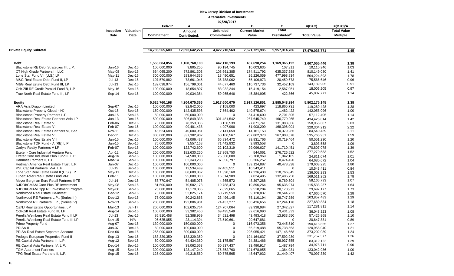|                                           | 02/28/2017    |           |                   |                          |                   |                       |                          |                    |                    |  |
|-------------------------------------------|---------------|-----------|-------------------|--------------------------|-------------------|-----------------------|--------------------------|--------------------|--------------------|--|
|                                           |               |           | Feb-17            | Α                        |                   | В                     | C                        | $=(B+C)$           | $=(B+C)/A$         |  |
|                                           | Inception     | Valuation |                   | Amount                   | <b>Unfunded</b>   | <b>Current Market</b> | Total                    |                    | <b>Total Value</b> |  |
|                                           | Date          | Date      | <b>Commitment</b> | Contributed <sub>1</sub> | <b>Commitment</b> | Value                 | Distributed <sup>2</sup> | <b>Total Value</b> | <b>Multiple</b>    |  |
|                                           |               |           |                   |                          |                   |                       |                          |                    |                    |  |
| Private Equity Subtotal                   |               |           | 14,785,565,609    | 12,093,642,274           | 4,422,710,563     | 7,521,721,985         | 9,957,314,786            | 17,479,036,771     | 1.45               |  |
| Debt                                      |               |           | 1,553,684,056     | 1,160,760,100            | 442,110,193       | 437,690,254           | 1,169,365,192            | 1,607,055,446      | 1.38               |  |
| Blackstone RE Debt Strategies III, L.P.   | Jun-16        | Dec-16    | 100,000,000       | 9,805,255                | 90,194,745        | 10,003,635            | 107,311                  | 10,110,946         | 1.03               |  |
| CT High Grade Partners II, LLC            | May-08        | Sep-16    | 664,065,200       | 572,861,303              | 108,661,385       | 174,811,792           | 635,337,288              | 810,149,080        | 1.41               |  |
| Lone Star Fund VII (U.S.) LP              | May-11        | Dec-16    | 300,000,000       | 283,944,335              | 18,490,651        | 26,226,059            | 477,998,834              | 504,224,893        | 1.78               |  |
| M&G Real Estate Debt Fund II, LP          | $Jul-13$      | Dec-16    | 107,579,882       | 78,661,045               | 36,788,062        | 55,106,973            | 20,459,673               | 75,566,646         | 0.96               |  |
| M&G Real Estate Debt Fund III, LP         | $Jul-13$      | Dec-16    | 182,038,974       | 156,799,001              | 44,077,460        | 110,737,736           | 32,452,169               | 143,189,905        | 0.91               |  |
| Och-Ziff RE Credit Parallel Fund B, L.P   | May-16        | Sep-16    | 100,000,000       | 18,654,807               | 83,932,244        | 15,419,154            | 2,587,051                | 18,006,205         | 0.97               |  |
|                                           |               |           |                   |                          |                   |                       |                          | 45,807,771         | 1.14               |  |
| True North Real Estate Fund III, LP       | Sep-14        | Sep-16    | 100,000,000       | 40,034,354               | 59,965,646        | 45,384,905            | 422,866                  |                    |                    |  |
| <b>Equity</b>                             |               |           | 5,525,760,198     | 4,204,675,366            | 1,917,600,670     | 2,917,126,851         | 2,885,048,294            | 5,802,175,145      | 1.38               |  |
| ARA Asia Dragon Limited                   | Sep-07        | Dec-16    | 100,000,000       | 92,842,000               | 7,158,000         | 423,697               | 118,865,731              | 119,289,428        | 1.28               |  |
| Blackstone Property Global - NJ           | Oct-15        | Sep-16    | 150,000,000       | 142,435,598              | 7,564,402         | 140,575,674           | 1,482,422                | 142,058,096        | 1.00               |  |
| Blackstone Property Partners L.P.         | Jun-15        | Sep-16    | 50,000,000        | 50,000,000               | $\Omega$          | 54,410,600            | 2,701,805                | 57,112,405         | 1.14               |  |
| Blackstone Real Estate Partners Asia LP   | Jun-13        | Dec-16    | 500,000,000       | 306,849,338              | 301,481,542       | 267,645,749           | 166,779,265              | 434,425,014        | 1.42               |  |
| Blackstone Real Estate V                  | Feb-06        | Dec-16    | 75,000,000        | 78,353,336               | 3,130,539         | 27,871,741            | 131,083,866              | 158,955,607        | 2.03               |  |
| <b>Blackstone Real Estate VI</b>          | Feb-07        | Dec-16    | 100,000,000       | 99,401,438               | 4,907,906         | 51,908,209            | 168,396,004              | 220,304,212        | 2.22               |  |
| Blackstone Real Estate Partners VI, Sec   | <b>Nov-11</b> | Dec-16    | 43,624,688        | 40,000,081               | 2,141,059         | 14, 161, 153          | 70,379,286               | 84,540,439         | 2.11               |  |
| <b>Blackstone Real Estate VII</b>         | Dec-11        | Dec-16    | 300,000,000       | 337,302,902              | 50,160,567        | 267,862,373           | 267,903,578              | 535,765,951        | 1.59               |  |
| <b>Blackstone Real Estate VIII</b>        | Jan-15        | Dec-16    | 100,000,000       | 42,006,437               | 66,834,472        | 39,831,766            | 10,719,464               | 50,551,230         | 1.20               |  |
| Blackstone TOP Fund - A (RE) L.P.         | Jan-15        | Sep-16    | 75,000,000        | 3,557,168                | 71,442,832        | 3,893,558             | 0                        | 3,893,558          | 1.09               |  |
| Carlyle Realty Partners V LP              | Feb-07        | Sep-16    | 100,000,000       | 122,742,600              | 22,102,319        | 29,096,627            | 141,710,451              | 170,807,078        | 1.39               |  |
| Exeter - Core Industrial Venture Fund     | Apr-12        | Sep-16    | 200,000,000       | 182,630,250              | 17,369,750        | 544,061               | 276,726,522              | 277,270,583        | 1.52               |  |
| Exeter Core Industrial Club Fund II, L.P. | Aug-16        | Sep-16    | 100,000,000       | 24,500,000               | 75,500,000        | 23,768,969            | 1,042,105                | 24.811.074         | 1.01               |  |
| Hammes Partners II, L.P.                  | Mar-14        | Sep-16    | 100,000,000       | 62,343,203               | 37,656,797        | 56,206,252            | 8,474,420                | 64,680,672         | 1.04               |  |
| Heitman America Real Estate Trust, L.P.   | Jan-07        | Dec-16    | 100,000,000       | 100,000,000              | $\Omega$          | 139,124,887           | 40,478,338               | 179,603,225        | 1.80               |  |
| KSL Capital Partners IV-A, L.P.           | Jul-15        | Sep-16    | 100,000,000       | 12,534,489               | 87,465,511        | 10,543,411            | $\Omega$                 | 10,543,411         | 0.84               |  |
| Lone Star Real Estate Fund II (U.S.) LP   | May-11        | Dec-16    | 100,000,000       | 88,609,832               | 11,390,168        | 17,236,438            | 118,766,845              | 136,003,283        | 1.53               |  |
| Lubert Adler Real Estate Fund VI-B        | Feb-11        | Sep-16    | 100,000,000       | 95,000,000               | 16,614,909        | 37,024,495            | 132,486,758              | 169,511,252        | 1.78               |  |
| Meyer Bergman Euro Retail Partners II-TE  | $Jul-14$      | Dec-16    | 58,770,647        | 54,405,076               | 4,365,572         | 48,397,288            | 9,769,504                | 58,166,793         | 1.07               |  |
| NJDOI/GMAM Core Plus RE Investment        | May-08        | Sep-16    | 81,500,000        | 70,582,173               | 19,788,473        | 19,896,264            | 95,636,974               | 115,533,237        | 1.64               |  |
| NJDOI/GMAM Opp RE Investment Program      | May-08        | Sep-16    | 25,000,000        | 17,170,335               | 7,829,665         | 9,518,204             | 20,173,973               | 29,692,177         | 1.73               |  |
| Northwood Real Estate Co-Invest           | Dec-12        | Sep-16    | 75,000,000        | 52,825,174               | 50,719,559        | 39,120,837            | 28,544,733               | 67,665,570         | 1.28               |  |
| Northwood RE Partners L.P., (Series III)  | Dec-12        | Sep-16    | 75,000,000        | 80,242,868               | 23,496,145        | 75,110,194            | 28,747,289               | 103,857,483        | 1.29               |  |
| Northwood RE Partners L.P., (Series IV)   | <b>Nov-13</b> | Sep-16    | 200,000,000       | 192,806,901              | 74,437,277        | 160,436,656           | 67,244,178               | 227,680,834        | 1.18               |  |
| OZNJ Real Estate Opportunities, LP        | Mar-13        | $Jan-17$  | 200,000,000       | 102,635,764              | 124,707,064       | 89,938,984            | 27,342,827               | 117,281,811        | 1.14               |  |
| Och-Ziff Real Estate Fund III, LP         | Aug-14        | Sep-16    | 100,000,000       | 33,382,450               | 69,495,549        | 32,616,990            | 3,431,333                | 36,048,323         | 1.08               |  |
| Perella Weinberg Real Estate Fund II LP   | $Jul-13$      | Dec-16    | 86,910,458        | 52,388,959               | 34,521,498        | 43,493,418            | 13,933,550               | 57,426,968         | 1.10               |  |
| Perella Weinberg Real Estate Fund III LP  | <b>Nov-15</b> | N/A       | 96,625,055        | 23,114,394               | 73,510,661        | 20,647,881            | $\Omega$                 | 20,647,881         | 0.89               |  |
| Prime Property Fund                       | Aug-07        | Dec-16    | 130,000,000       | 150,000,000              | 0                 | 116,973,356           | 73,445,510               | 190,418,865        | 1.27               |  |
| PRISA II                                  | Jun-07        | Dec-16    | 60,000,000        | 100,000,000              | 0                 | 65,219,488            | 55,738,553               | 120,958,040        | 1.21               |  |
| PRISA Real Estate Separate Account        | Dec-06        | Dec-16    | 265,000,000       | 300,000,000              | 0                 | 226,055,421           | 147,146,668              | 373,202,089        | 1.24               |  |
| Prologis European Properties Fund II      | Sep-13        | Dec-16    | 183,329,350       | 183,329,350              | $\mathbf 0$       | 194,164,637           | 37,592,939               | 231,757,577        | 1.26               |  |
| RE Capital Asia Partners III, L.P.        | Aug-12        | Sep-16    | 80,000,000        | 64,434,380               | 21,175,507        | 24,381,466            | 58,937,655               | 83,319,122         | 1.29               |  |
| RE Capital Asia Partners IV, L.P.         | Dec-14        | Sep-16    | 100,000,000       | 39,062,563               | 60,937,437        | 33,490,917            | 1,487,794                | 34,978,711         | 0.90               |  |
| <b>TGM Apartment Partners</b>             | Aug-15        | Sep-16    | 300,000,000       | 123, 147, 240            | 176,852,760       | 121,678,955           | 1,364,031                | 123,042,986        | 1.00               |  |
| TPG Real Estate Partners II, L.P.         | Sep-15        | Dec-16    | 125,000,000       | 49,318,560               | 80,775,565        | 48,647,932            | 21,449,407               | 70,097,339         | 1.42               |  |
|                                           |               |           |                   |                          |                   |                       |                          |                    |                    |  |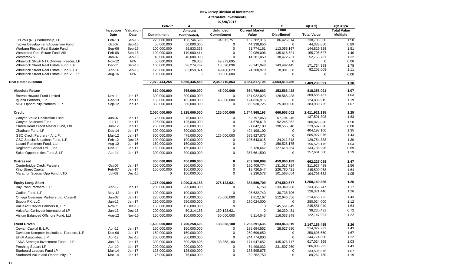|                                                                          |               |               | Feb-17            | A                        |                   | B                     | C                        | $=(B+C)$                     | $=(B+C)/A$         |
|--------------------------------------------------------------------------|---------------|---------------|-------------------|--------------------------|-------------------|-----------------------|--------------------------|------------------------------|--------------------|
|                                                                          | Inception     | Valuation     |                   | Amount                   | <b>Unfunded</b>   | <b>Current Market</b> | Total                    |                              | <b>Total Value</b> |
|                                                                          | Date          | Date          | <b>Commitment</b> | Contributed <sub>1</sub> | <b>Commitment</b> | Value                 | Distributed <sup>2</sup> | <b>Total Value</b>           | <b>Multiple</b>    |
| TPG/NJ (RE) Partnership, LP                                              | Feb-13        | Sep-16        | 225,000,000       | 158,746,596              | 94,012,751        | 152,282,316           | 86,426,014               | 238,708,330                  | 1.50               |
| Tucker Development/Acquisition Fund                                      | Oct-07        | Sep-16        | 50,000,000        | 50,000,000               | $\Omega$          | 44,338,850            | $\mathbf 0$              | 44,338,850                   | 0.89               |
| Warburg Pincus Real Estate Fund I                                        | Sep-06        | Sep-16        | 100,000,000       | 95,833,333               | 0                 | 31,774,161            | 113,055,167              | 144,829,328                  | 1.51               |
| Westbrook Real Estate Fund VIII                                          | Feb-08        | Sep-16        | 100,000,000       | 110,980,414              | $\Omega$          | 20,089,006            | 135,616,521              | 155,705,527                  | 1.40               |
| Westbrook VII                                                            | Jan-07        | Sep-16        | 40,000,000        | 40,000,000               | $\Omega$          | 14,281,050            | 38,472,731               | 52,753,781                   | 1.32               |
| Wheelock SREF NJ CO-Invest Feeder, LP                                    | <b>Nov-12</b> | N/A           | 50,000,000        | 26,305                   | 49,973,695        | $\mathbf 0$           | $\mathbf 0$              | $\Omega$                     | 0.00               |
| Wheelock Street Real Estate Fund, L.P.                                   | Dec-11        | Sep-16        | 100,000,000       | 96,274,787               | 18,620,096        | 28,241,948            | 143,492,445              | 171,734,393                  | 1.78               |
| Wheelock Street Real Estate Fund II, L.P.                                | Apr-14        | Sep-16        | 125,000,000       | 82,859,074               | 49,460,623        | 74,200,970            | 18,001,638               | 92,202,608                   | 1.11               |
| Wheelock Street Real Estate Fund V, L.P                                  | Aug-16        | N/A           | 100,000,000       | 0                        | 100,000,000       | 0                     | $\mathbf 0$              | 0                            | 0.00               |
| Real Estate Subtotal                                                     |               |               | 7,079,444,254     | 5,365,435,466            | 2,359,710,863     | 3,354,817,105         | 4,054,413,486            | 7.409.230.591                | 1.38               |
| <b>Absolute Return</b>                                                   |               |               | 810,000,000       | 765,000,000              | 45,000,000        | 664,789,663           | 153,566,428              | 818,356,091                  | 1.07               |
| Brevan Howard Fund Limited                                               | <b>Nov-11</b> | Jan-17        | 300,000,000       | 300,000,000              | $\mathbf 0$       | 181,022,023           | 128,566,428              | 309,588,451                  | 1.03               |
| Iguazu Partners, L.P.                                                    | $Dec-13$      | $Jan-17$      | 150,000,000       | 105,000,000              | 45,000,000        | 124,836,915           | $\Omega$                 | 124,836,915                  | 1.19               |
| MKP Opportunity Partners, L.P.                                           | Sep-12        | $Jan-17$      | 360,000,000       | 360,000,000              | $\mathbf 0$       | 358,930,725           | 25,000,000               | 383,930,725                  | 1.07               |
| <b>Credit</b>                                                            |               |               | 2,050,000,000     | 1,925,000,000            | 125,000,000       | 1,744,968,193         | 666,953,002              | 2,411,921,195                | 1.25               |
| Canyon Value Realization Fund                                            | Jun-07        | $Jan-17$      | 75,000,000        | 75,000,000               | $\mathbf 0$       | 69,797,063            | 67,794,245               | 137,591,308                  | 1.83               |
| Canyon Balanced Fund                                                     | $Jul-11$      | $Jan-17$      | 125,000,000       | 125,000,000              | $\Omega$          | 94,678,618            | 92,245,262               | 186,923,880                  | 1.50               |
| Claren Road Credit Master Fund, Ltd.                                     | Jun-12        | Jan-17        | 250,000,000       | 250,000,000              | 0                 | 21,042,180            | 198,555,648              | 219,597,828                  | 0.88               |
| Chatham Fund, LP                                                         | Dec-14        | Jan-17        | 300,000,000       | 300,000,000              | 0                 | 404,198,100           | 0                        | 404,198,100                  | 1.35               |
| GSO Credit Partners - A, L.P.                                            | <b>Mar-12</b> | $Jan-17$      | 600,000,000       | 475,000,000              | 125,000,000       | 685,927,075           | $\mathbf 0$              | 685,927,075                  | 1.44               |
| GSO Special Situations Fund, L.P.                                        | Feb-12        | Dec-16        | 100,000,000       | 100,000,000              | $\Omega$          | 105,543,015           | 24,211,318               | 129,754,333                  | 1.30               |
| Lazard Rathmore Fund, Ltd.                                               | Aug-12        | Jun-16        | 150,000,000       | 150,000,000              | $\Omega$          | $\Omega$              | 156,528,175              | 156,528,175                  | 1.04               |
| Regiment Capital Ltd. Fund                                               | Dec-11        | Jan-17        | 150,000,000       | 150,000,000              | 0                 | 6,120,642             | 127,618,354              | 133,738,996                  | 0.89               |
| Solus Opportunities Fund 3, LP                                           | Apr-14        | $Jan-17$      | 300,000,000       | 300,000,000              | $\mathbf 0$       | 357,661,500           | $\mathbf 0$              | 357,661,500                  | 1.19               |
|                                                                          |               |               |                   |                          |                   |                       |                          |                              |                    |
| <b>Distressed</b>                                                        |               |               | 350,000,000       | 450,000,000              | 0                 | 202,360,899           | 459,866,189              | 662,227,088                  | 1.47               |
| Centerbridge Credit Partners                                             | Oct-07        | $Jan-17$      | 200,000,000       | 200,000,000              | $\Omega$          | 180,409,774           | 131,517,714              | 311,927,488                  | 1.56               |
| <b>King Street Capital</b>                                               | Feb-07        | Jan-17        | 150,000,000       | 150,000,000              | $\mathbf 0$       | 18,720,547            | 226,780,421              | 245,500,968                  | 1.64               |
| Marathon Special Opp Fund, LTD                                           | Jul-08        | Dec-16        | 0                 | 100,000,000              | $\Omega$          | 3,230,578             | 101,568,054              | 104,798,632                  | 1.05               |
| <b>Equity Long/ Short</b>                                                |               |               | 1,275,000,000     | 1,000,314,183            | 275,123,621       | 383,589,709           | 874,550,677              | 1,258,140,386                | 1.26               |
| Bay Pond Partners, L.P.                                                  | Apr-12        | $Jan-17$      | 200,000,000       | 200,000,000              | $\mathbf 0$       | 6,759                 | 233,349,988              | 233,356,747                  | 1.17               |
| Cadian Fund, L.P.                                                        | May-12        | $Jan-17$      | 100,000,000       | 100,000,000              | $\Omega$          | 95,632,740            | 30,738,706               | 126,371,446                  | 1.26               |
| Omega Overseas Partners Ltd. Class-B                                     | Jan-07        | Jan-17        | 225,000,000       | 150,000,000              | 75,000,000        | 1,812,167             | 212,646,556              | 214,458,723                  | 1.43               |
| Scopia PX, LLC                                                           | $Jan-13$      | Jan-17        | 250,000,000       | 250,000,000              | $\mathbf 0$       | 280,024,000           | $\Omega$                 | 280,024,000                  | 1.12               |
| ValueAct Capital Partners II, L.P.                                       | <b>Nov-11</b> | Dec-16        | 150,000,000       | 150,000,000              | $\Omega$          | $\mathbf 0$           | 245,551,049              | 245,551,049                  | 1.64               |
| ValueAct Co-Invest International LP                                      | $Jun-13$      | Dec-16        | 200,000,000       | 50,314,183               | 150,123,621       | $\mathbf 0$           | 36,230,431               | 36,230,431                   | 0.72               |
| Visium Balanced Offshore Fund, Ltd                                       | Aug-12        | <b>Nov-16</b> | 150,000,000       | 100,000,000              | 50,000,000        | 6,114,043             | 116,033,948              | 122,147,991                  | 1.22               |
| <b>Event Driven</b>                                                      |               |               | 1,400,000,000     | 1,700,258,606            | 138,358,180       | 1,263,291,635         | 883,863,819              |                              |                    |
| Cevian Capital II, L.P.                                                  | Apr-12        | Jan-17        | 150,000,000       | 150,000,000              | $\Omega$          | 185,694,552           | 28,627,680               | 2.147.155.455<br>214,322,232 | 1.26<br>1.43       |
|                                                                          | Dec-06        | $Jan-17$      | 150,000,000       |                          | 0                 | 250,696,650           | $\mathbf 0$              | 250,696,650                  | 1.67               |
| Davidson Kempner Institutional Partners, L.P<br>Elliott Associates, L.P. |               |               |                   | 150,000,000              | 0                 |                       | 0                        | 244,774,800                  | 1.22               |
|                                                                          | Apr-12        | Dec-16        | 200,000,000       | 200,000,000              |                   | 244,774,800           |                          |                              |                    |
| JANA Strategic Investment Fund II, LP                                    | $Jun-13$      | Jan-17        | 300,000,000       | 600,258,606              | 138,358,180       | 171,947,652           | 445,076,717              | 617,024,369                  | 1.03               |
| Pershing Square LP                                                       | Apr-10        | Jan-17        | 200,000,000       | 200,000,000              | 0                 | 54,498,032            | 231,507,260              | 286,005,292                  | 1.43               |
| Starboard Leaders Fund LP                                                | Mar-14        | Jan-17        | 125,000,000       | 125,000,000              | $\Omega$          | 133,595,875           | $\mathbf 0$              | 133,595,875                  | 1.07               |
| Starboard Value and Opportunity LP                                       | Mar-14        | Jan-17        | 75,000,000        | 75,000,000               | 0                 | 89,262,750            | 0                        | 89,262,750                   | 1.19               |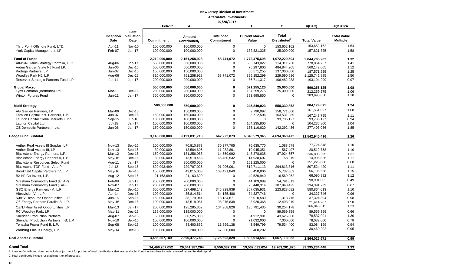#### **02/28/2017**

|                                                            |                  |                  | Feb-17                     | А                        |                          | в                       | C                         | $=(B+C)$                 | $=(B+C)/A$         |
|------------------------------------------------------------|------------------|------------------|----------------------------|--------------------------|--------------------------|-------------------------|---------------------------|--------------------------|--------------------|
|                                                            |                  | Last             |                            |                          |                          |                         |                           |                          |                    |
|                                                            | Inception        | Valuation        |                            | Amount                   | <b>Unfunded</b>          | <b>Current Market</b>   | <b>Total</b>              |                          | <b>Total Value</b> |
|                                                            | <b>Date</b>      | Date             | <b>Commitment</b>          | Contributed <sub>1</sub> | <b>Commitment</b>        | Value                   | Distributed <sup>2</sup>  | <b>Total Value</b>       | <b>Multiple</b>    |
| Third Point Offshore Fund. LTD.                            | Apr-11           | <b>Nov-16</b>    | 100,000,000                | 100,000,000              | $\mathbf 0$              | $\mathbf 0$             | 153,652,162               | 153,652,162              | 1.54               |
| York Capital Management, LP                                | Feb-07           | Jan-17           | 100,000,000                | 100,000,000              | 0                        | 132,821,325             | 25,000,000                | 157,821,325              | 1.58               |
| <b>Fund of Funds</b>                                       |                  |                  | 2,210,000,000              | 2,151,258,928            | 58,741,072               | 1,772,475,698           | 1,072,229,504             | 2,844,705,202            | 1.32               |
| AIMS/NJ Multi-Strategy Portfolio, LLC                      | Aug-06           | Jan-17           | 550,000,000                | 550,000,000              | $\mathbf 0$              | 663,743,027             | 114,311,730               | 778,054,757              | 1.41               |
| Arden Garden State NJ Fund LP.                             | Jun-06           | Dec-16           | 500,000,000                | 500,000,000              | 0                        | 75,297,800              | 484,844,205               | 560,142,005              | 1.12               |
| Protege Partners, LP                                       | <b>Jun-07</b>    | Dec-16           | 150,000,000                | 150,000,000              | $\mathbf 0$              | 50,571,255              | 137,000,000               | 187,571,255              | 1.25               |
| Woodley Park NJ, L.P.                                      | Aug-06           | Dec-16           | 810,000,000                | 751,258,928              | 58,741,072               | 896,152,299             | 229,590,586               | 1,125,742,885            | 1.50               |
| Reservoir Strategic Partners Fund, LP                      | $Jul-11$         | Jan-17           | 200,000,000                | 200,000,000              | $\mathbf 0$              | 86,711,317              | 106,482,983               | 193,194,299              | 0.97               |
| <b>Global Macro</b>                                        |                  |                  | 550,000,000                | 550,000,000              | $\mathbf{0}$             | 571,255,125             | 25,000,000                | 596,255,125              | 1.08               |
| Lynx Common (Bermuda) Ltd.                                 | Mar-11           | Dec-16           | 200,000,000                | 200,000,000              | $\mathsf 0$              | 187,259,275             | 25,000,000                | 212,259,275              | 1.06               |
| Winton Futures Fund                                        | $Jan-11$         | Jan-17           | 350,000,000                | 350,000,000              | $\mathbf 0$              | 383,995,850             | $\mathbf 0$               | 383,995,850              | 1.10               |
| <b>Multi-Strategy</b>                                      |                  |                  | 500,000,000                | 650,000,000              | $\bf{0}$                 | 245,849,023             | 558,330,852               | 804,179,875              | 1.24               |
|                                                            |                  |                  |                            |                          |                          |                         |                           | 161,561,097              | 1.08               |
| AG Garden Partners, LP                                     | Mar-06           | Dec-16           | $\Omega$                   | 150.000.000              | $\Omega$                 | 2.790.097               | 158.771.000               |                          |                    |
| Farallon Capital Inst. Partners, L.P.                      | Jun-07           | Dec-16           | 150,000,000                | 150,000,000              | 0<br>$\Omega$            | 3,712,506               | 163,531,289               | 167,243,795              | 1.11               |
| Laurion Capital Global Markets Fund                        | Sep-15           | Jun-16           | 100,000,000                | 100,000,000              |                          | $\Omega$                | 93,736,127                | 93,736,127               | 0.94               |
| Laurion Capital Ltd.                                       | $Jul-15$         | Jan-17           | 100,000,000                | 100,000,000              | $\pmb{0}$                | 104,235,800             | $\Omega$                  | 104,235,800              | 1.04               |
| OZ Domestic Partners II, Ltd.                              | Jun-06           | Jan-17           | 150,000,000                | 150,000,000              | $\Omega$                 | 135,110,620             | 142,292,436               | 277,403,056              | 1.85               |
| Hedge Fund Subtotal                                        |                  |                  | 9,145,000,000              | 9,191,831,718            | 642,222,873              | 6,848,579,945           | 4,694,360,472             | 11,542,940,416           | $1.26$             |
| Aether Real Assets III Surplus, LP                         | <b>Nov-13</b>    | Sep-16           | 100,000,000                | 70,810,873               | 30,277,705               | 76,635,770              | 1,088,578                 | 77,724,348               | 1.10               |
| Aether Real Assets III, LP                                 | <b>Nov-13</b>    | Sep-16           | 30,000,000                 | 18,584,606               | 11,982,801               | 19,945,351              | 567,407                   | 20,512,758               | 1.10               |
| Blackstone Energy Partners, L.P.                           | Mar-12           | Dec-16           | 150,000,000                | 181,256,083              | 14,559,992               | 148,878,638             | 87,924,657                | 236,803,295              | 1.31               |
| Blackstone Energy Partners II, L.P.                        | May-15           | Dec-16           | 80,000,000                 | 13,519,468               | 66,480,532               | 14,938,607              | 58,219                    | 14,996,826               | 1.11               |
| <b>Blackstone Resources Select Fund</b>                    | Aug-11           | $Jan-17$         | 250,000,000                | 250,000,000              | $\mathbf 0$              | 151,225,000             | $\mathbf 0$               | 151,225,000              | 0.60               |
| Blackstone TOP Fund - A, L.P.                              | Jul-12           | Sep-16           | 620,093,499                | 729,707,026              | 91,906,061               | 512,711,113             | 294,813,316               | 807,524,429              | 1.11               |
|                                                            |                  |                  |                            |                          |                          |                         |                           | 56,196,668               | 1.15               |
| Brookfield Capital Partners IV, L.P.                       | May-16           | Sep-16           | 150,000,000                | 49,015,003               | 103,491,840              | 50,458,806              | 5,737,862                 |                          | 3.12               |
| BX NJ Co-Invest, L.P.                                      | Aug-12           | Sep-16           | 21,163,690                 | 21,163,690               | 0                        | 49,520,940              | 16,569,952                | 66,090,892               |                    |
| Gresham Commodity Fund (ETAP)                              | Feb-08           | Jan-17           | 200,000,000                | 200,000,000              | $\boldsymbol{0}$         | 44,109,989              | 54,791,013                | 98,901,002               | 0.49               |
| Gresham Commodity Fund (TAP)                               | Nov-07           | Jan-17           | 200,000,000                | 200,000,000              | $\Omega$                 | 26,448,314              | 107,943,425               | 134,391,739              | 0.67               |
| GSO Energy Partners - A, L.P.                              | Mar-12           | Sep-16           | 650,000,000                | 527,498,143              | 346,329,939              | 357,035,931             | 223,828,082               | 580,864,013              | 1.10               |
| Hitecvision VII, L.P.                                      | Apr-14           | Dec-16           | 100,000,000                | 35,814,514               | 64,185,486               | 34,327,746              | $\Omega$                  | 34,327,746               | 0.96               |
| NJ/HV Resource Opportunities, L.P.                         | Jun-15           | Sep-16           | 150,000,000                | 38,179,044               | 113,134,671              | 36,010,589              | 1,313,715                 | 37,324,304               | 0.98               |
| OZ Energy Partners Parallel B, L.P.                        | May-16           | Dec-16           | 100,000,000                | 13,518,081               | 98,975,838               | 8,920,368               | 12,493,919                | 21,414,287               | 1.58               |
| OZNJ Real Asset Opportunities, LP                          | $Mar-13$         | $Jan-17$         | 200,000,000                | 125,285,352              | 104,968,826              | 135,791,435             | 30,254,178                | 166,045,613              | 1.33               |
| RC Woodley Park, LP                                        | May-11           | Dec-16           | 135,000,000                | 135,000,000              | 0                        | $\mathbf 0$             | 89,569,359                | 89,569,359               | 0.66               |
| <b>Sheridan Production Partners I</b>                      | Aug-07           | Sep-16           | 50,000,000                 | 60,525,000               | $\boldsymbol{0}$         | 34,912,991              | 43,625,000                | 78,537,991               | 1.30               |
| Sheridan Production Partners II-B, L.P                     | <b>Nov-10</b>    | Sep-16           | 100,000,000                | 100,000,000              | $\Omega$                 | 71,032,000              | 7,000,000                 | 78,032,000               | 0.78               |
|                                                            |                  |                  |                            |                          |                          |                         |                           |                          |                    |
| Tenaska Power Fund II, L.P.<br>Warburg Pincus Energy, L.P. | Sep-08<br>May-14 | Sep-16<br>Dec-16 | 100,000,000<br>100,000,000 | 88,400,862<br>32,200,000 | 11,599,138<br>67,800,000 | 3,549,799<br>30,460,202 | 79,534,400<br>$\mathbf 0$ | 83,084,199<br>30,460,202 | 0.94<br>0.95       |
|                                                            |                  |                  |                            |                          |                          |                         |                           |                          |                    |
| <b>Real Assets Subtotal</b>                                |                  |                  | 3,486,257,189              | 2,890,477,746            | 1,125,692,829            | 1,806,913,589           | 1,057,113,082             | 2,864,026,671            | 0.99               |
| <b>Grand Total</b>                                         |                  |                  | 34,496,267,052             | 29,541,387,204           | 8,550,337,128            | 19,532,032,624          | 19,763,201,825            | 39,295,234,448           | 1.33               |
|                                                            |                  |                  |                            |                          |                          |                         |                           |                          |                    |

1. Amount Contributed does not include adjustment for portion of total distributions that are recallable. Contributions does include return of unused funded capital. 2. Total distributed include recallable portion of proceeds.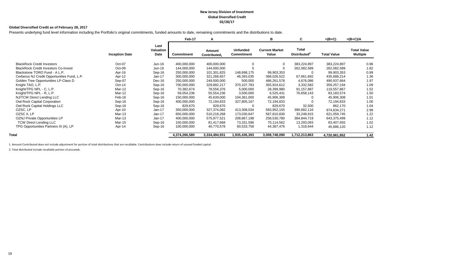#### **New Jersey Division of Investment Global Diversified Credit 02/28/17**

#### **Global Diversified Credit as of February 28, 2017**

Presents underlying fund level information including the Portfolio's original commitments, funded amounts to date, remaining commitments and the distributions to date.

|                                             |                       |                           | Feb-17        | A                                  |                                      | в                              | C                                 | $=(B+C)$           | $=(B+C)/A$                            |
|---------------------------------------------|-----------------------|---------------------------|---------------|------------------------------------|--------------------------------------|--------------------------------|-----------------------------------|--------------------|---------------------------------------|
|                                             | <b>Inception Date</b> | Last<br>Valuation<br>Date | Commitment    | Amount<br>Contributed <sub>1</sub> | <b>Unfunded</b><br><b>Commitment</b> | <b>Current Market</b><br>Value | Total<br>Distributed <sup>2</sup> | <b>Total Value</b> | <b>Total Value</b><br><b>Multiple</b> |
| <b>BlackRock Credit Investors</b>           | Oct-07                | Jun-16                    | 400,000,000   | 400,000,000                        | $\Omega$                             |                                | 383,224,897                       | 383,224,897        | 0.96                                  |
| <b>BlackRock Credit Investors Co-Invest</b> | Oct-09                | Jun-16                    | 144,000,000   | 144,000,000                        | $\Omega$                             |                                | 262,082,589                       | 262,082,589        | 1.82                                  |
| Blackstone TORO Fund - A L.P.               | Apr-16                | Sep-16                    | 250,000,000   | 101,301,825                        | 148,698,175                          | 99,903,353                     |                                   | 99,903,353         | 0.99                                  |
| Cerberus NJ Credit Opportunities Fund, L.P. | Apr-12                | Jan-17                    | 300,000,000   | 321,268,657                        | 46,393,035                           | 368,026,522                    | 67,661,692                        | 435,688,214        | 1.36                                  |
| Golden Tree Opportunities LP-Class D        | Sep-07                | Dec-16                    | 250,000,000   | 249,500,000                        | 500,000                              | 486,261,578                    | 4,676,086                         | 490,937,664        | 1.97                                  |
| Knight TAO, L.P.                            | $Oct-14$              | Sep-16                    | 700,000,000   | 329,892,217                        | 370,107,783                          | 355,924,612                    | 3,332,582                         | 359,257,194        | 1.09                                  |
| Knight/TPG NPL - C, L.P.                    | Mar-12                | Sep-16                    | 70,382,674    | 78,556,376                         | 5,000,000                            | 28,399,980                     | 91,157,887                        | 119,557,867        | 1.52                                  |
| Knight/TPG NPL - R, L.P.                    | Mar-12                | Sep-16                    | 59,054,236    | 55,554,236                         | 3,500,000                            | 6,525,431                      | 76,658,143                        | 83,183,574         | 1.50                                  |
| NJ/TCW Direct Lending LLC                   | Feb-16                | Sep-16                    | 150,000,000   | 45,639,000                         | 104,361,000                          | 45,906,308                     |                                   | 45,906,308         | 1.01                                  |
| Owl Rock Capital Corporation                | Sep-16                | Sep-16                    | 400,000,000   | 72,194,833                         | 327,805,167                          | 72,194,833                     |                                   | 72,194,833         | 1.00                                  |
| Owl Rock Capital Holdings LLC               | Sep-16                | Sep-16                    | 829,670       | 829,670                            | 0                                    | 829,670                        | 32,500                            | 862,170            | 1.04                                  |
| OZSC, LP                                    | Apr-10                | Jan-17                    | 350,000,000   | 327,374,082                        | 413,308,034                          | 583,952,155                    | 390,682,116                       | 974,634,271        | 2.98                                  |
| OZSC II, LP                                 | Mar-13                | Jan-17                    | 650,000,000   | 510,218,268                        | 173,030,647                          | 587,810,830                    | 33,248,915                        | 621,059,745        | 1.22                                  |
| OZNJ Private Opportunities LP               | Mar-13                | $Jan-17$                  | 400,000,000   | 575,977,521                        | 208,867,198                          | 258,530,780                    | 384,844,719                       | 643,375,499        | 1.12                                  |
| <b>TCW Direct Lending LLC</b>               | Mar-15                | Sep-16                    | 150,000,000   | 81,417,668                         | 73,331,596                           | 70,114,562                     | 13,293,093                        | 83,407,655         | 1.02                                  |
| TPG Opportunities Partners III (A), LP      | Apr-14                | Sep-16                    | 100,000,000   | 40,770,578                         | 60,533,758                           | 44,367,476                     | 1,318,644                         | 45,686,120         | 1.12                                  |
| Total                                       |                       |                           | 4,374,266,580 | 3,334,494,931                      | 1,935,436,393                        | 3,008,748,090                  | 1,712,213,863                     | 4,720,961,952      | 1.42                                  |

1. Amount Contributed does not include adjustment for portion of total distributions that are recallable. Contributions does include return of unused funded capital.

2. Total distributed include recallable portion of proceeds.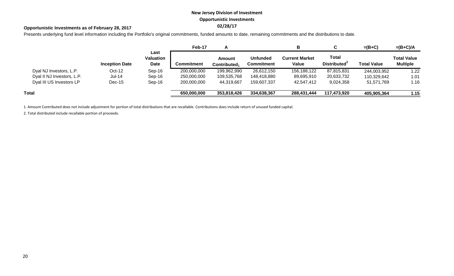## **New Jersey Division of Investment Opportunistic Investments**

## **02/28/17 Opportunistic Investments as of February 28, 2017**

Presents underlying fund level information including the Portfolio's original commitments, funded amounts to date, remaining commitments and the distributions to date.

|                            |                       |                           | Feb-17      |                                           |                                      | в                              |                                          | $=(B+C)$           | $=(B+C)/A$                            |
|----------------------------|-----------------------|---------------------------|-------------|-------------------------------------------|--------------------------------------|--------------------------------|------------------------------------------|--------------------|---------------------------------------|
|                            | <b>Inception Date</b> | Last<br>Valuation<br>Date | Commitment  | <b>Amount</b><br>Contributed <sub>1</sub> | <b>Unfunded</b><br><b>Commitment</b> | <b>Current Market</b><br>Value | <b>Total</b><br>Distributed <sup>2</sup> | <b>Total Value</b> | <b>Total Value</b><br><b>Multiple</b> |
| Dyal NJ Investors, L.P.    | $Oct-12$              | Sep-16                    | 200,000,000 | 199,962,990                               | 26,612,150                           | 156,188,122                    | 87,815,831                               | 244,003,952        | 1.22                                  |
| Dyal II NJ Investors, L.P. | <b>Jul-14</b>         | $Sep-16$                  | 250,000,000 | 109,535,768                               | 148,418,880                          | 89,695,910                     | 20,633,732                               | 110,329,642        | 1.01                                  |
| Dyal III US Investors LP   | $Dec-15$              | $Sep-16$                  | 200,000,000 | 44,319,667                                | 159,607,337                          | 42,547,412                     | 9,024,358                                | 51,571,769         | 1.16                                  |
| Total                      |                       |                           | 650,000,000 | 353,818,426                               | 334,638,367                          | 288,431,444                    | 117,473,920                              | 405,905,364        | 1.15                                  |

1. Amount Contributed does not include adjustment for portion of total distributions that are recallable. Contributions does include return of unused funded capital.

2. Total distributed include recallable portion of proceeds.